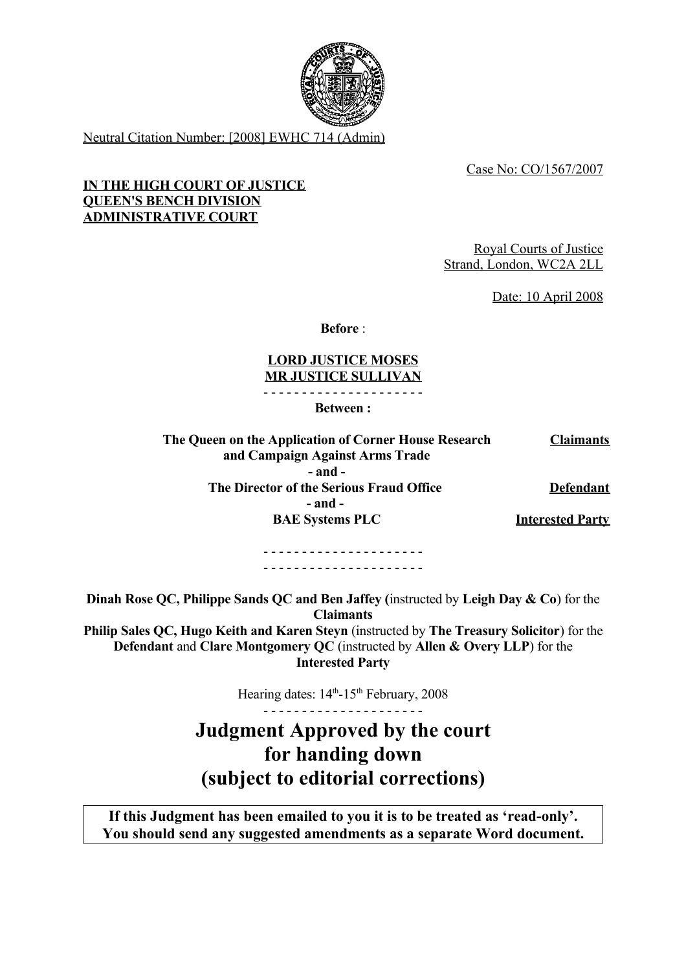

Neutral Citation Number: [2008] EWHC 714 (Admin)

Case No: CO/1567/2007

## **IN THE HIGH COURT OF JUSTICE QUEEN'S BENCH DIVISION ADMINISTRATIVE COURT**

Royal Courts of Justice Strand, London, WC2A 2LL

Date: 10 April 2008

**Before** :

## **LORD JUSTICE MOSES MR JUSTICE SULLIVAN**

- - - - - - - - - - - - - - - - - - - - - **Between :**

| The Queen on the Application of Corner House Research | <b>Claimants</b>        |
|-------------------------------------------------------|-------------------------|
| and Campaign Against Arms Trade                       |                         |
| $-$ and $-$                                           |                         |
| The Director of the Serious Fraud Office              | <b>Defendant</b>        |
| $-$ and $-$                                           |                         |
| <b>BAE Systems PLC</b>                                | <b>Interested Party</b> |
|                                                       |                         |

- - - - - - - - - - - - - - - - - - - - - - - - - - - - - - - - - - - - - - - - - -

**Dinah Rose QC, Philippe Sands QC and Ben Jaffey (**instructed by **Leigh Day & Co**) for the **Claimants Philip Sales QC, Hugo Keith and Karen Steyn** (instructed by **The Treasury Solicitor**) for the **Defendant** and **Clare Montgomery QC** (instructed by **Allen & Overy LLP**) for the **Interested Party**

Hearing dates:  $14<sup>th</sup> - 15<sup>th</sup>$  February, 2008

- - - - - - - - - - - - - - - - - - - - - **Judgment Approved by the court for handing down (subject to editorial corrections)**

**If this Judgment has been emailed to you it is to be treated as 'read-only'. You should send any suggested amendments as a separate Word document.**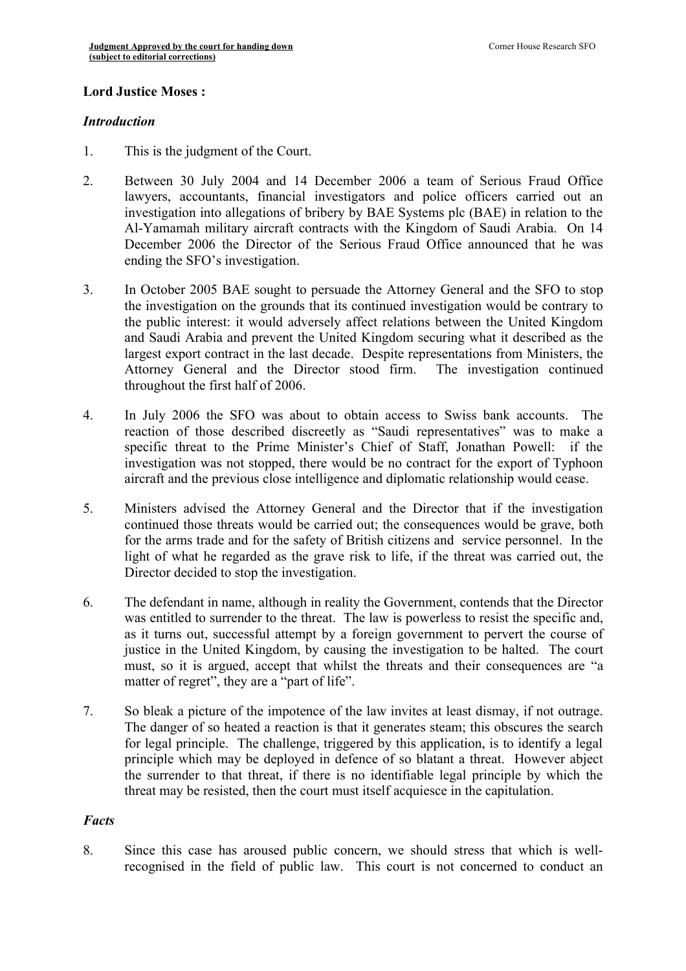### **Lord Justice Moses :**

#### *Introduction*

- 1. This is the judgment of the Court.
- 2. Between 30 July 2004 and 14 December 2006 a team of Serious Fraud Office lawyers, accountants, financial investigators and police officers carried out an investigation into allegations of bribery by BAE Systems plc (BAE) in relation to the Al-Yamamah military aircraft contracts with the Kingdom of Saudi Arabia. On 14 December 2006 the Director of the Serious Fraud Office announced that he was ending the SFO's investigation.
- 3. In October 2005 BAE sought to persuade the Attorney General and the SFO to stop the investigation on the grounds that its continued investigation would be contrary to the public interest: it would adversely affect relations between the United Kingdom and Saudi Arabia and prevent the United Kingdom securing what it described as the largest export contract in the last decade. Despite representations from Ministers, the Attorney General and the Director stood firm. The investigation continued throughout the first half of 2006.
- 4. In July 2006 the SFO was about to obtain access to Swiss bank accounts. The reaction of those described discreetly as "Saudi representatives" was to make a specific threat to the Prime Minister's Chief of Staff, Jonathan Powell: if the investigation was not stopped, there would be no contract for the export of Typhoon aircraft and the previous close intelligence and diplomatic relationship would cease.
- 5. Ministers advised the Attorney General and the Director that if the investigation continued those threats would be carried out; the consequences would be grave, both for the arms trade and for the safety of British citizens and service personnel. In the light of what he regarded as the grave risk to life, if the threat was carried out, the Director decided to stop the investigation.
- 6. The defendant in name, although in reality the Government, contends that the Director was entitled to surrender to the threat. The law is powerless to resist the specific and, as it turns out, successful attempt by a foreign government to pervert the course of justice in the United Kingdom, by causing the investigation to be halted. The court must, so it is argued, accept that whilst the threats and their consequences are "a matter of regret", they are a "part of life".
- 7. So bleak a picture of the impotence of the law invites at least dismay, if not outrage. The danger of so heated a reaction is that it generates steam; this obscures the search for legal principle. The challenge, triggered by this application, is to identify a legal principle which may be deployed in defence of so blatant a threat. However abject the surrender to that threat, if there is no identifiable legal principle by which the threat may be resisted, then the court must itself acquiesce in the capitulation.

### *Facts*

8. Since this case has aroused public concern, we should stress that which is wellrecognised in the field of public law. This court is not concerned to conduct an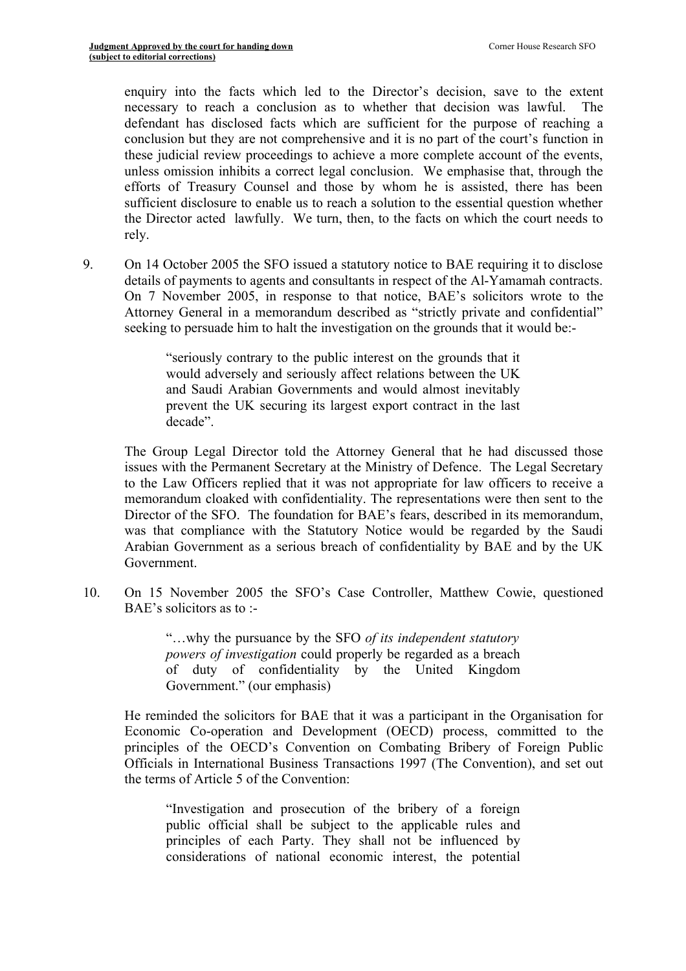enquiry into the facts which led to the Director's decision, save to the extent necessary to reach a conclusion as to whether that decision was lawful. defendant has disclosed facts which are sufficient for the purpose of reaching a conclusion but they are not comprehensive and it is no part of the court's function in these judicial review proceedings to achieve a more complete account of the events, unless omission inhibits a correct legal conclusion. We emphasise that, through the efforts of Treasury Counsel and those by whom he is assisted, there has been sufficient disclosure to enable us to reach a solution to the essential question whether the Director acted lawfully. We turn, then, to the facts on which the court needs to rely.

9. On 14 October 2005 the SFO issued a statutory notice to BAE requiring it to disclose details of payments to agents and consultants in respect of the Al-Yamamah contracts. On 7 November 2005, in response to that notice, BAE's solicitors wrote to the Attorney General in a memorandum described as "strictly private and confidential" seeking to persuade him to halt the investigation on the grounds that it would be:-

> "seriously contrary to the public interest on the grounds that it would adversely and seriously affect relations between the UK and Saudi Arabian Governments and would almost inevitably prevent the UK securing its largest export contract in the last decade".

The Group Legal Director told the Attorney General that he had discussed those issues with the Permanent Secretary at the Ministry of Defence. The Legal Secretary to the Law Officers replied that it was not appropriate for law officers to receive a memorandum cloaked with confidentiality. The representations were then sent to the Director of the SFO. The foundation for BAE's fears, described in its memorandum, was that compliance with the Statutory Notice would be regarded by the Saudi Arabian Government as a serious breach of confidentiality by BAE and by the UK Government.

10. On 15 November 2005 the SFO's Case Controller, Matthew Cowie, questioned BAE's solicitors as to :-

> "…why the pursuance by the SFO *of its independent statutory powers of investigation* could properly be regarded as a breach of duty of confidentiality by the United Kingdom Government." (our emphasis)

He reminded the solicitors for BAE that it was a participant in the Organisation for Economic Co-operation and Development (OECD) process, committed to the principles of the OECD's Convention on Combating Bribery of Foreign Public Officials in International Business Transactions 1997 (The Convention), and set out the terms of Article 5 of the Convention:

"Investigation and prosecution of the bribery of a foreign public official shall be subject to the applicable rules and principles of each Party. They shall not be influenced by considerations of national economic interest, the potential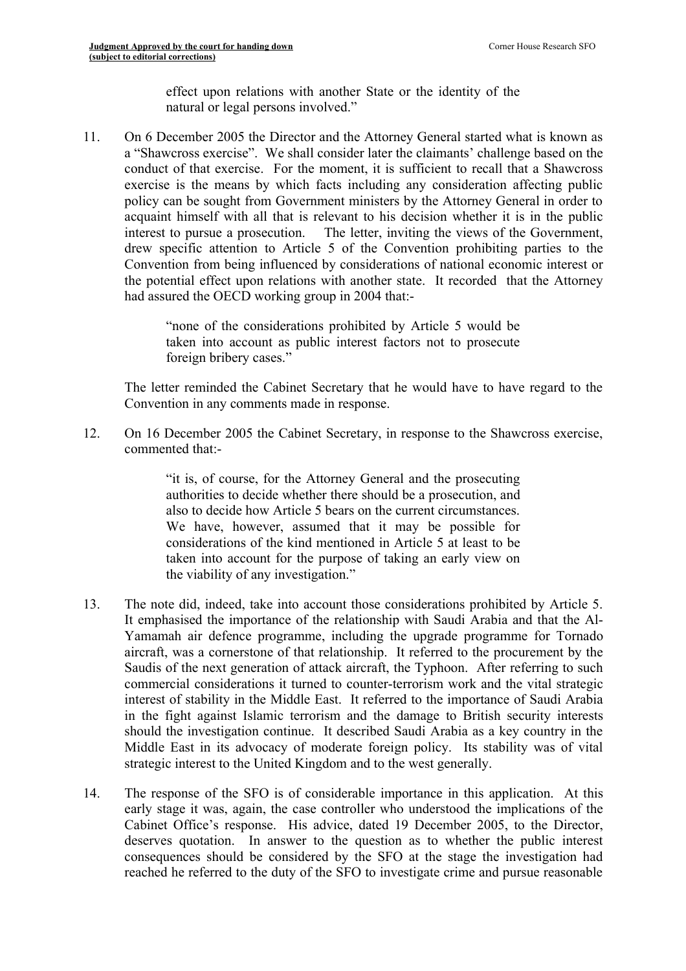effect upon relations with another State or the identity of the natural or legal persons involved."

11. On 6 December 2005 the Director and the Attorney General started what is known as a "Shawcross exercise". We shall consider later the claimants' challenge based on the conduct of that exercise. For the moment, it is sufficient to recall that a Shawcross exercise is the means by which facts including any consideration affecting public policy can be sought from Government ministers by the Attorney General in order to acquaint himself with all that is relevant to his decision whether it is in the public interest to pursue a prosecution. The letter, inviting the views of the Government, drew specific attention to Article 5 of the Convention prohibiting parties to the Convention from being influenced by considerations of national economic interest or the potential effect upon relations with another state. It recorded that the Attorney had assured the OECD working group in 2004 that:-

> "none of the considerations prohibited by Article 5 would be taken into account as public interest factors not to prosecute foreign bribery cases."

The letter reminded the Cabinet Secretary that he would have to have regard to the Convention in any comments made in response.

12. On 16 December 2005 the Cabinet Secretary, in response to the Shawcross exercise, commented that:-

> "it is, of course, for the Attorney General and the prosecuting authorities to decide whether there should be a prosecution, and also to decide how Article 5 bears on the current circumstances. We have, however, assumed that it may be possible for considerations of the kind mentioned in Article 5 at least to be taken into account for the purpose of taking an early view on the viability of any investigation."

- 13. The note did, indeed, take into account those considerations prohibited by Article 5. It emphasised the importance of the relationship with Saudi Arabia and that the Al-Yamamah air defence programme, including the upgrade programme for Tornado aircraft, was a cornerstone of that relationship. It referred to the procurement by the Saudis of the next generation of attack aircraft, the Typhoon. After referring to such commercial considerations it turned to counter-terrorism work and the vital strategic interest of stability in the Middle East. It referred to the importance of Saudi Arabia in the fight against Islamic terrorism and the damage to British security interests should the investigation continue. It described Saudi Arabia as a key country in the Middle East in its advocacy of moderate foreign policy. Its stability was of vital strategic interest to the United Kingdom and to the west generally.
- 14. The response of the SFO is of considerable importance in this application. At this early stage it was, again, the case controller who understood the implications of the Cabinet Office's response. His advice, dated 19 December 2005, to the Director, deserves quotation. In answer to the question as to whether the public interest consequences should be considered by the SFO at the stage the investigation had reached he referred to the duty of the SFO to investigate crime and pursue reasonable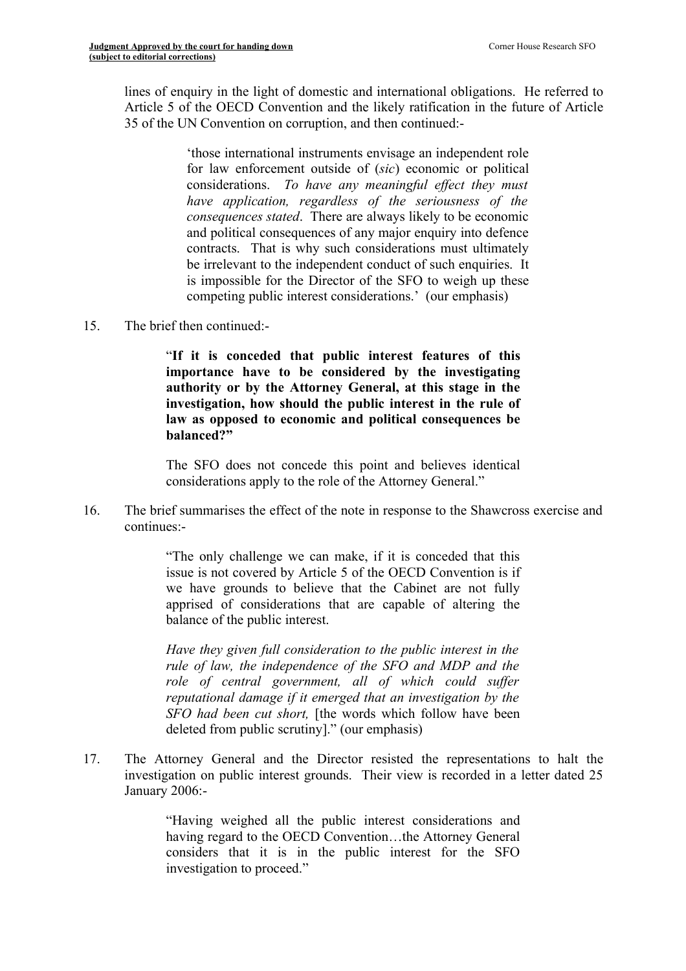lines of enquiry in the light of domestic and international obligations. He referred to Article 5 of the OECD Convention and the likely ratification in the future of Article 35 of the UN Convention on corruption, and then continued:-

> 'those international instruments envisage an independent role for law enforcement outside of (*sic*) economic or political considerations. *To have any meaningful effect they must have application, regardless of the seriousness of the consequences stated*. There are always likely to be economic and political consequences of any major enquiry into defence contracts. That is why such considerations must ultimately be irrelevant to the independent conduct of such enquiries. It is impossible for the Director of the SFO to weigh up these competing public interest considerations.' (our emphasis)

15. The brief then continued:-

"**If it is conceded that public interest features of this importance have to be considered by the investigating authority or by the Attorney General, at this stage in the investigation, how should the public interest in the rule of law as opposed to economic and political consequences be balanced?"**

The SFO does not concede this point and believes identical considerations apply to the role of the Attorney General."

16. The brief summarises the effect of the note in response to the Shawcross exercise and continues:-

> "The only challenge we can make, if it is conceded that this issue is not covered by Article 5 of the OECD Convention is if we have grounds to believe that the Cabinet are not fully apprised of considerations that are capable of altering the balance of the public interest.

> *Have they given full consideration to the public interest in the rule of law, the independence of the SFO and MDP and the role of central government, all of which could suffer reputational damage if it emerged that an investigation by the SFO had been cut short,* [the words which follow have been deleted from public scrutiny]." (our emphasis)

17. The Attorney General and the Director resisted the representations to halt the investigation on public interest grounds. Their view is recorded in a letter dated 25 January 2006:-

> "Having weighed all the public interest considerations and having regard to the OECD Convention…the Attorney General considers that it is in the public interest for the SFO investigation to proceed."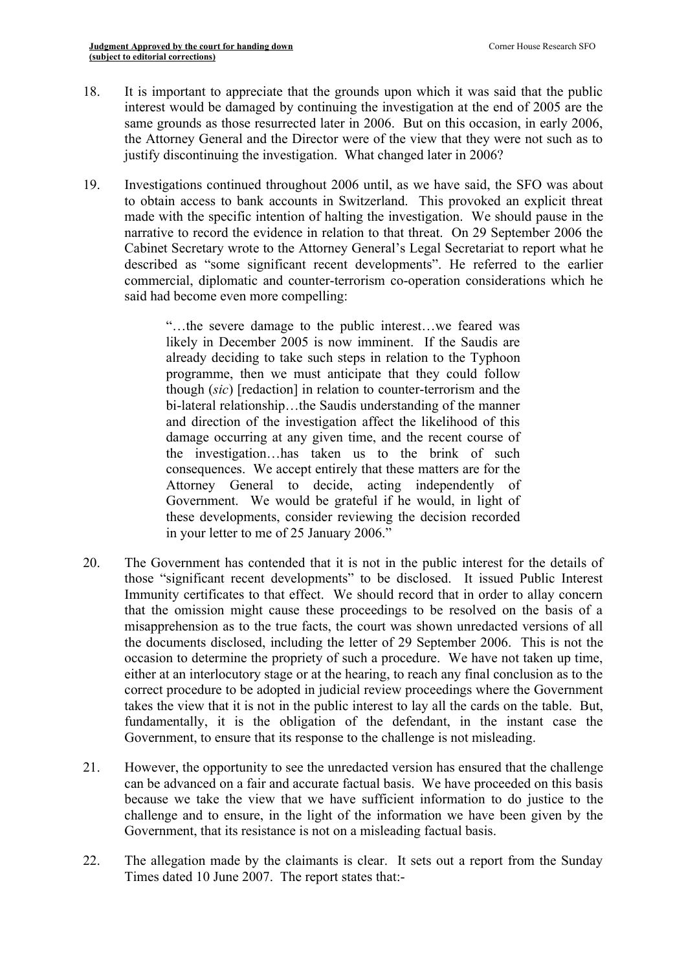- 18. It is important to appreciate that the grounds upon which it was said that the public interest would be damaged by continuing the investigation at the end of 2005 are the same grounds as those resurrected later in 2006. But on this occasion, in early 2006, the Attorney General and the Director were of the view that they were not such as to justify discontinuing the investigation. What changed later in 2006?
- 19. Investigations continued throughout 2006 until, as we have said, the SFO was about to obtain access to bank accounts in Switzerland. This provoked an explicit threat made with the specific intention of halting the investigation. We should pause in the narrative to record the evidence in relation to that threat. On 29 September 2006 the Cabinet Secretary wrote to the Attorney General's Legal Secretariat to report what he described as "some significant recent developments". He referred to the earlier commercial, diplomatic and counter-terrorism co-operation considerations which he said had become even more compelling:

"…the severe damage to the public interest…we feared was likely in December 2005 is now imminent. If the Saudis are already deciding to take such steps in relation to the Typhoon programme, then we must anticipate that they could follow though (*sic*) [redaction] in relation to counter-terrorism and the bi-lateral relationship...the Saudis understanding of the manner and direction of the investigation affect the likelihood of this damage occurring at any given time, and the recent course of the investigation…has taken us to the brink of such consequences. We accept entirely that these matters are for the Attorney General to decide, acting independently of Government. We would be grateful if he would, in light of these developments, consider reviewing the decision recorded in your letter to me of 25 January 2006."

- 20. The Government has contended that it is not in the public interest for the details of those "significant recent developments" to be disclosed. It issued Public Interest Immunity certificates to that effect. We should record that in order to allay concern that the omission might cause these proceedings to be resolved on the basis of a misapprehension as to the true facts, the court was shown unredacted versions of all the documents disclosed, including the letter of 29 September 2006. This is not the occasion to determine the propriety of such a procedure. We have not taken up time, either at an interlocutory stage or at the hearing, to reach any final conclusion as to the correct procedure to be adopted in judicial review proceedings where the Government takes the view that it is not in the public interest to lay all the cards on the table. But, fundamentally, it is the obligation of the defendant, in the instant case the Government, to ensure that its response to the challenge is not misleading.
- 21. However, the opportunity to see the unredacted version has ensured that the challenge can be advanced on a fair and accurate factual basis. We have proceeded on this basis because we take the view that we have sufficient information to do justice to the challenge and to ensure, in the light of the information we have been given by the Government, that its resistance is not on a misleading factual basis.
- 22. The allegation made by the claimants is clear. It sets out a report from the Sunday Times dated 10 June 2007. The report states that:-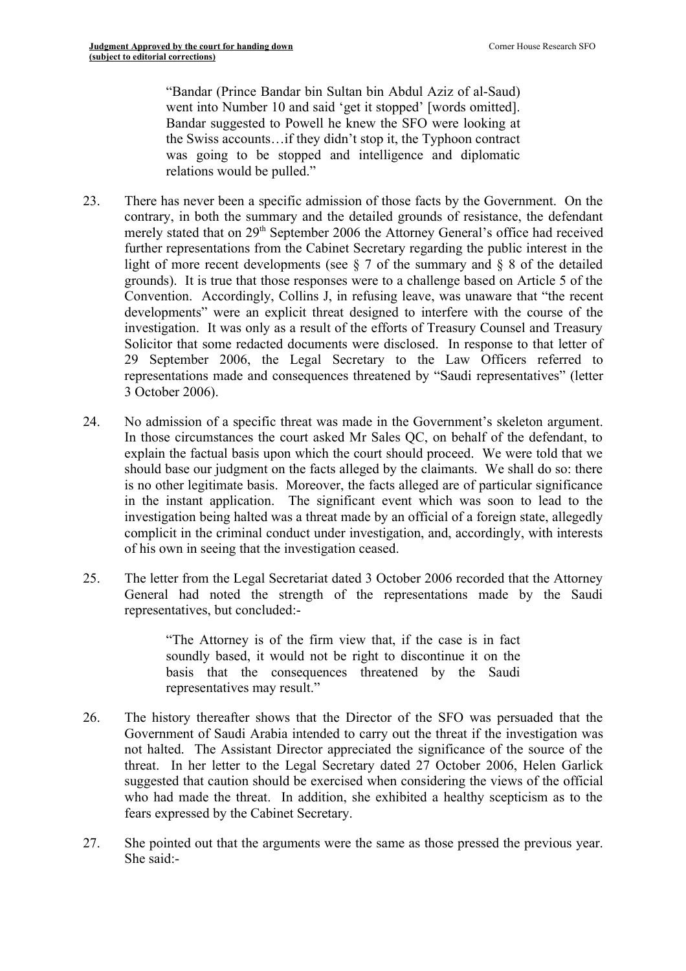"Bandar (Prince Bandar bin Sultan bin Abdul Aziz of al-Saud) went into Number 10 and said 'get it stopped' [words omitted]. Bandar suggested to Powell he knew the SFO were looking at the Swiss accounts…if they didn't stop it, the Typhoon contract was going to be stopped and intelligence and diplomatic relations would be pulled."

- 23. There has never been a specific admission of those facts by the Government. On the contrary, in both the summary and the detailed grounds of resistance, the defendant merely stated that on 29<sup>th</sup> September 2006 the Attorney General's office had received further representations from the Cabinet Secretary regarding the public interest in the light of more recent developments (see  $\S$  7 of the summary and  $\S$  8 of the detailed grounds). It is true that those responses were to a challenge based on Article 5 of the Convention. Accordingly, Collins J, in refusing leave, was unaware that "the recent developments" were an explicit threat designed to interfere with the course of the investigation. It was only as a result of the efforts of Treasury Counsel and Treasury Solicitor that some redacted documents were disclosed. In response to that letter of 29 September 2006, the Legal Secretary to the Law Officers referred to representations made and consequences threatened by "Saudi representatives" (letter 3 October 2006).
- 24. No admission of a specific threat was made in the Government's skeleton argument. In those circumstances the court asked Mr Sales QC, on behalf of the defendant, to explain the factual basis upon which the court should proceed. We were told that we should base our judgment on the facts alleged by the claimants. We shall do so: there is no other legitimate basis. Moreover, the facts alleged are of particular significance in the instant application. The significant event which was soon to lead to the investigation being halted was a threat made by an official of a foreign state, allegedly complicit in the criminal conduct under investigation, and, accordingly, with interests of his own in seeing that the investigation ceased.
- 25. The letter from the Legal Secretariat dated 3 October 2006 recorded that the Attorney General had noted the strength of the representations made by the Saudi representatives, but concluded:-

"The Attorney is of the firm view that, if the case is in fact soundly based, it would not be right to discontinue it on the basis that the consequences threatened by the Saudi representatives may result."

- 26. The history thereafter shows that the Director of the SFO was persuaded that the Government of Saudi Arabia intended to carry out the threat if the investigation was not halted. The Assistant Director appreciated the significance of the source of the threat. In her letter to the Legal Secretary dated 27 October 2006, Helen Garlick suggested that caution should be exercised when considering the views of the official who had made the threat. In addition, she exhibited a healthy scepticism as to the fears expressed by the Cabinet Secretary.
- 27. She pointed out that the arguments were the same as those pressed the previous year. She said:-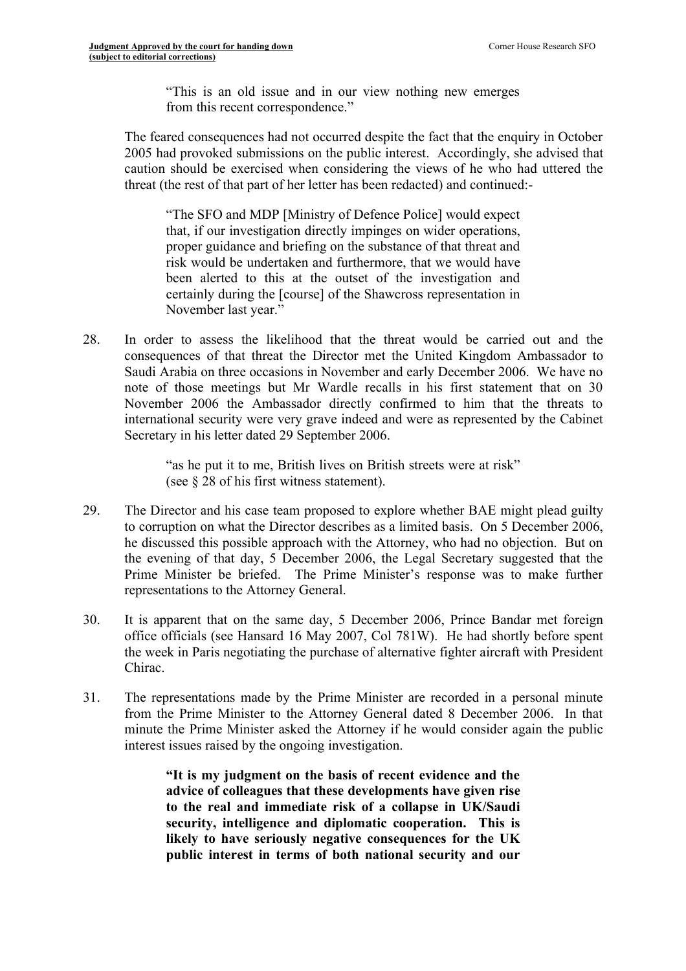"This is an old issue and in our view nothing new emerges from this recent correspondence."

The feared consequences had not occurred despite the fact that the enquiry in October 2005 had provoked submissions on the public interest. Accordingly, she advised that caution should be exercised when considering the views of he who had uttered the threat (the rest of that part of her letter has been redacted) and continued:-

"The SFO and MDP [Ministry of Defence Police] would expect that, if our investigation directly impinges on wider operations, proper guidance and briefing on the substance of that threat and risk would be undertaken and furthermore, that we would have been alerted to this at the outset of the investigation and certainly during the [course] of the Shawcross representation in November last year."

28. In order to assess the likelihood that the threat would be carried out and the consequences of that threat the Director met the United Kingdom Ambassador to Saudi Arabia on three occasions in November and early December 2006. We have no note of those meetings but Mr Wardle recalls in his first statement that on 30 November 2006 the Ambassador directly confirmed to him that the threats to international security were very grave indeed and were as represented by the Cabinet Secretary in his letter dated 29 September 2006.

> "as he put it to me, British lives on British streets were at risk" (see § 28 of his first witness statement).

- 29. The Director and his case team proposed to explore whether BAE might plead guilty to corruption on what the Director describes as a limited basis. On 5 December 2006, he discussed this possible approach with the Attorney, who had no objection. But on the evening of that day, 5 December 2006, the Legal Secretary suggested that the Prime Minister be briefed. The Prime Minister's response was to make further representations to the Attorney General.
- 30. It is apparent that on the same day, 5 December 2006, Prince Bandar met foreign office officials (see Hansard 16 May 2007, Col 781W). He had shortly before spent the week in Paris negotiating the purchase of alternative fighter aircraft with President Chirac.
- 31. The representations made by the Prime Minister are recorded in a personal minute from the Prime Minister to the Attorney General dated 8 December 2006. In that minute the Prime Minister asked the Attorney if he would consider again the public interest issues raised by the ongoing investigation.

**"It is my judgment on the basis of recent evidence and the advice of colleagues that these developments have given rise to the real and immediate risk of a collapse in UK/Saudi security, intelligence and diplomatic cooperation. This is likely to have seriously negative consequences for the UK public interest in terms of both national security and our**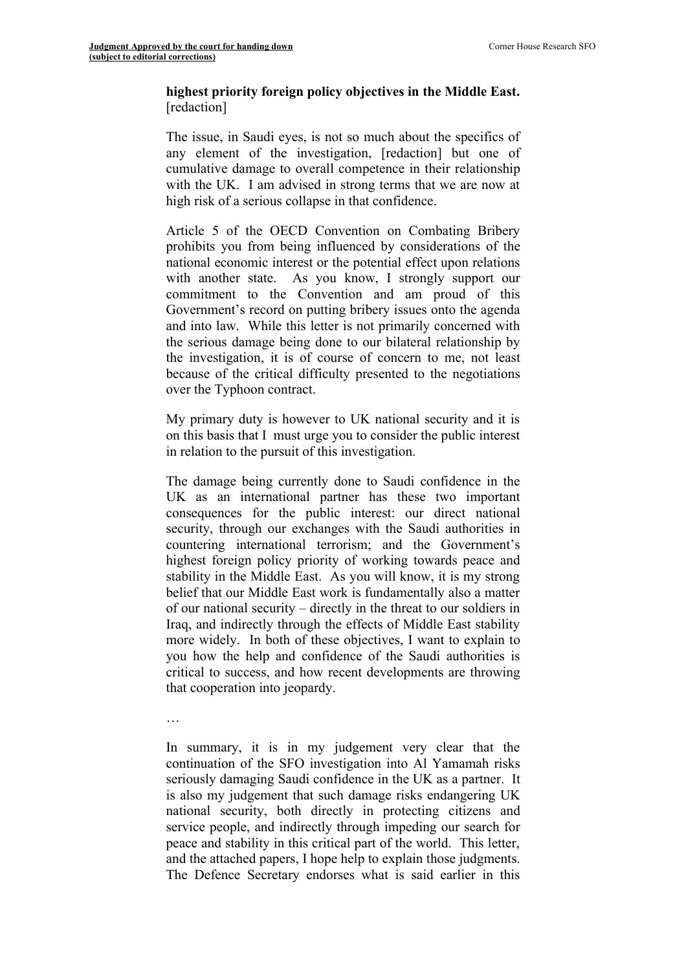## **highest priority foreign policy objectives in the Middle East.** [redaction]

The issue, in Saudi eyes, is not so much about the specifics of any element of the investigation, [redaction] but one of cumulative damage to overall competence in their relationship with the UK. I am advised in strong terms that we are now at high risk of a serious collapse in that confidence.

Article 5 of the OECD Convention on Combating Bribery prohibits you from being influenced by considerations of the national economic interest or the potential effect upon relations with another state. As you know, I strongly support our commitment to the Convention and am proud of this Government's record on putting bribery issues onto the agenda and into law. While this letter is not primarily concerned with the serious damage being done to our bilateral relationship by the investigation, it is of course of concern to me, not least because of the critical difficulty presented to the negotiations over the Typhoon contract.

My primary duty is however to UK national security and it is on this basis that I must urge you to consider the public interest in relation to the pursuit of this investigation.

The damage being currently done to Saudi confidence in the UK as an international partner has these two important consequences for the public interest: our direct national security, through our exchanges with the Saudi authorities in countering international terrorism; and the Government's highest foreign policy priority of working towards peace and stability in the Middle East. As you will know, it is my strong belief that our Middle East work is fundamentally also a matter of our national security – directly in the threat to our soldiers in Iraq, and indirectly through the effects of Middle East stability more widely. In both of these objectives, I want to explain to you how the help and confidence of the Saudi authorities is critical to success, and how recent developments are throwing that cooperation into jeopardy.

…

In summary, it is in my judgement very clear that the continuation of the SFO investigation into Al Yamamah risks seriously damaging Saudi confidence in the UK as a partner. It is also my judgement that such damage risks endangering UK national security, both directly in protecting citizens and service people, and indirectly through impeding our search for peace and stability in this critical part of the world. This letter, and the attached papers, I hope help to explain those judgments. The Defence Secretary endorses what is said earlier in this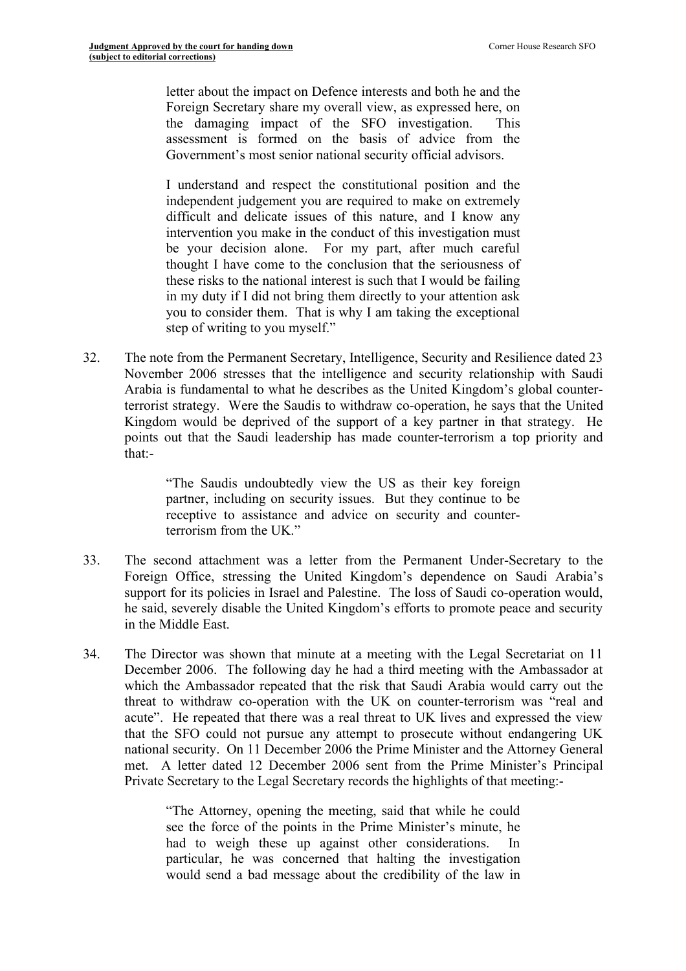letter about the impact on Defence interests and both he and the Foreign Secretary share my overall view, as expressed here, on the damaging impact of the SFO investigation. This assessment is formed on the basis of advice from the Government's most senior national security official advisors.

I understand and respect the constitutional position and the independent judgement you are required to make on extremely difficult and delicate issues of this nature, and I know any intervention you make in the conduct of this investigation must be your decision alone. For my part, after much careful thought I have come to the conclusion that the seriousness of these risks to the national interest is such that I would be failing in my duty if I did not bring them directly to your attention ask you to consider them. That is why I am taking the exceptional step of writing to you myself."

32. The note from the Permanent Secretary, Intelligence, Security and Resilience dated 23 November 2006 stresses that the intelligence and security relationship with Saudi Arabia is fundamental to what he describes as the United Kingdom's global counterterrorist strategy. Were the Saudis to withdraw co-operation, he says that the United Kingdom would be deprived of the support of a key partner in that strategy. He points out that the Saudi leadership has made counter-terrorism a top priority and that:-

> "The Saudis undoubtedly view the US as their key foreign partner, including on security issues. But they continue to be receptive to assistance and advice on security and counterterrorism from the UK."

- 33. The second attachment was a letter from the Permanent Under-Secretary to the Foreign Office, stressing the United Kingdom's dependence on Saudi Arabia's support for its policies in Israel and Palestine. The loss of Saudi co-operation would, he said, severely disable the United Kingdom's efforts to promote peace and security in the Middle East.
- 34. The Director was shown that minute at a meeting with the Legal Secretariat on 11 December 2006. The following day he had a third meeting with the Ambassador at which the Ambassador repeated that the risk that Saudi Arabia would carry out the threat to withdraw co-operation with the UK on counter-terrorism was "real and acute". He repeated that there was a real threat to UK lives and expressed the view that the SFO could not pursue any attempt to prosecute without endangering UK national security. On 11 December 2006 the Prime Minister and the Attorney General met. A letter dated 12 December 2006 sent from the Prime Minister's Principal Private Secretary to the Legal Secretary records the highlights of that meeting:-

"The Attorney, opening the meeting, said that while he could see the force of the points in the Prime Minister's minute, he had to weigh these up against other considerations. In particular, he was concerned that halting the investigation would send a bad message about the credibility of the law in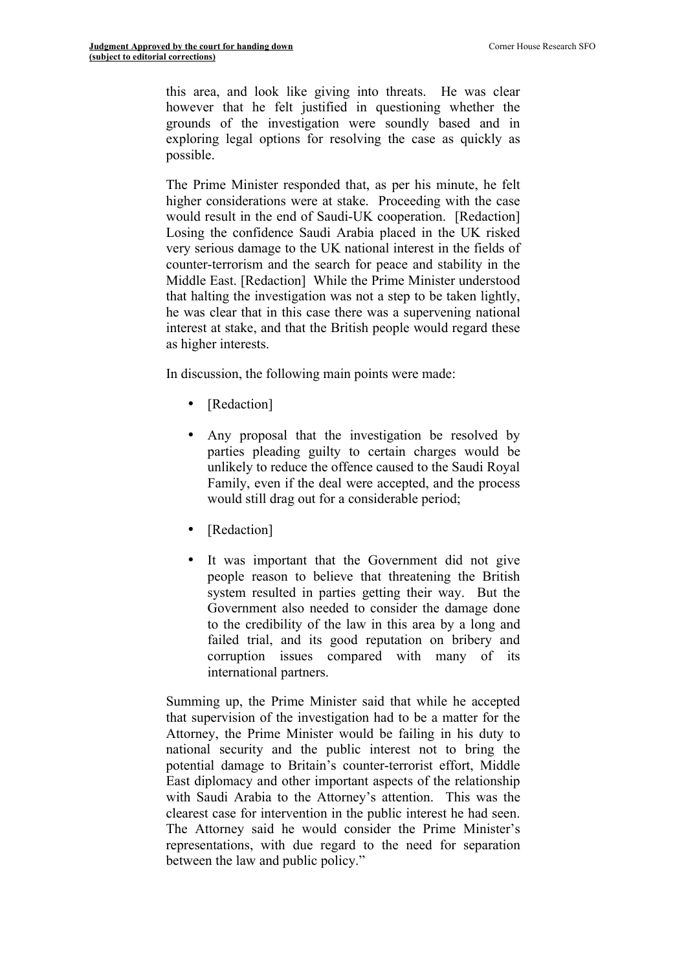this area, and look like giving into threats. He was clear however that he felt justified in questioning whether the grounds of the investigation were soundly based and in exploring legal options for resolving the case as quickly as possible.

The Prime Minister responded that, as per his minute, he felt higher considerations were at stake. Proceeding with the case would result in the end of Saudi-UK cooperation. [Redaction] Losing the confidence Saudi Arabia placed in the UK risked very serious damage to the UK national interest in the fields of counter-terrorism and the search for peace and stability in the Middle East. [Redaction] While the Prime Minister understood that halting the investigation was not a step to be taken lightly, he was clear that in this case there was a supervening national interest at stake, and that the British people would regard these as higher interests.

In discussion, the following main points were made:

- [Redaction]
- Any proposal that the investigation be resolved by parties pleading guilty to certain charges would be unlikely to reduce the offence caused to the Saudi Royal Family, even if the deal were accepted, and the process would still drag out for a considerable period;
- [Redaction]
- It was important that the Government did not give people reason to believe that threatening the British system resulted in parties getting their way. But the Government also needed to consider the damage done to the credibility of the law in this area by a long and failed trial, and its good reputation on bribery and corruption issues compared with many of its international partners.

Summing up, the Prime Minister said that while he accepted that supervision of the investigation had to be a matter for the Attorney, the Prime Minister would be failing in his duty to national security and the public interest not to bring the potential damage to Britain's counter-terrorist effort, Middle East diplomacy and other important aspects of the relationship with Saudi Arabia to the Attorney's attention. This was the clearest case for intervention in the public interest he had seen. The Attorney said he would consider the Prime Minister's representations, with due regard to the need for separation between the law and public policy."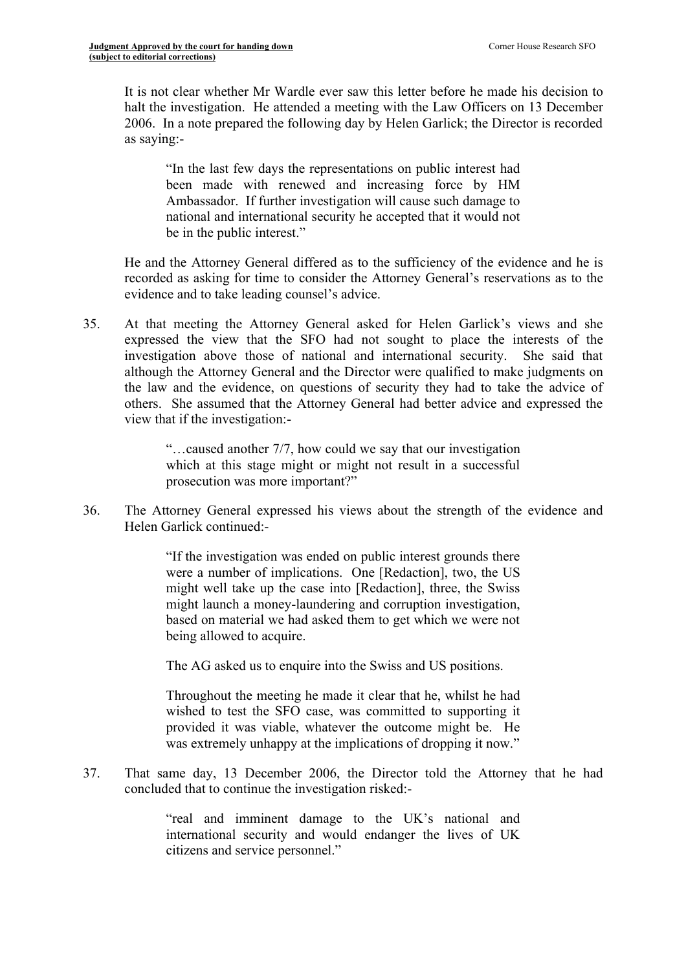It is not clear whether Mr Wardle ever saw this letter before he made his decision to halt the investigation. He attended a meeting with the Law Officers on 13 December 2006. In a note prepared the following day by Helen Garlick; the Director is recorded as saying:-

"In the last few days the representations on public interest had been made with renewed and increasing force by HM Ambassador. If further investigation will cause such damage to national and international security he accepted that it would not be in the public interest."

He and the Attorney General differed as to the sufficiency of the evidence and he is recorded as asking for time to consider the Attorney General's reservations as to the evidence and to take leading counsel's advice.

35. At that meeting the Attorney General asked for Helen Garlick's views and she expressed the view that the SFO had not sought to place the interests of the investigation above those of national and international security. She said that although the Attorney General and the Director were qualified to make judgments on the law and the evidence, on questions of security they had to take the advice of others. She assumed that the Attorney General had better advice and expressed the view that if the investigation:-

> "…caused another 7/7, how could we say that our investigation which at this stage might or might not result in a successful prosecution was more important?"

36. The Attorney General expressed his views about the strength of the evidence and Helen Garlick continued:-

> "If the investigation was ended on public interest grounds there were a number of implications. One [Redaction], two, the US might well take up the case into [Redaction], three, the Swiss might launch a money-laundering and corruption investigation, based on material we had asked them to get which we were not being allowed to acquire.

The AG asked us to enquire into the Swiss and US positions.

Throughout the meeting he made it clear that he, whilst he had wished to test the SFO case, was committed to supporting it provided it was viable, whatever the outcome might be. He was extremely unhappy at the implications of dropping it now."

37. That same day, 13 December 2006, the Director told the Attorney that he had concluded that to continue the investigation risked:-

> "real and imminent damage to the UK's national and international security and would endanger the lives of UK citizens and service personnel."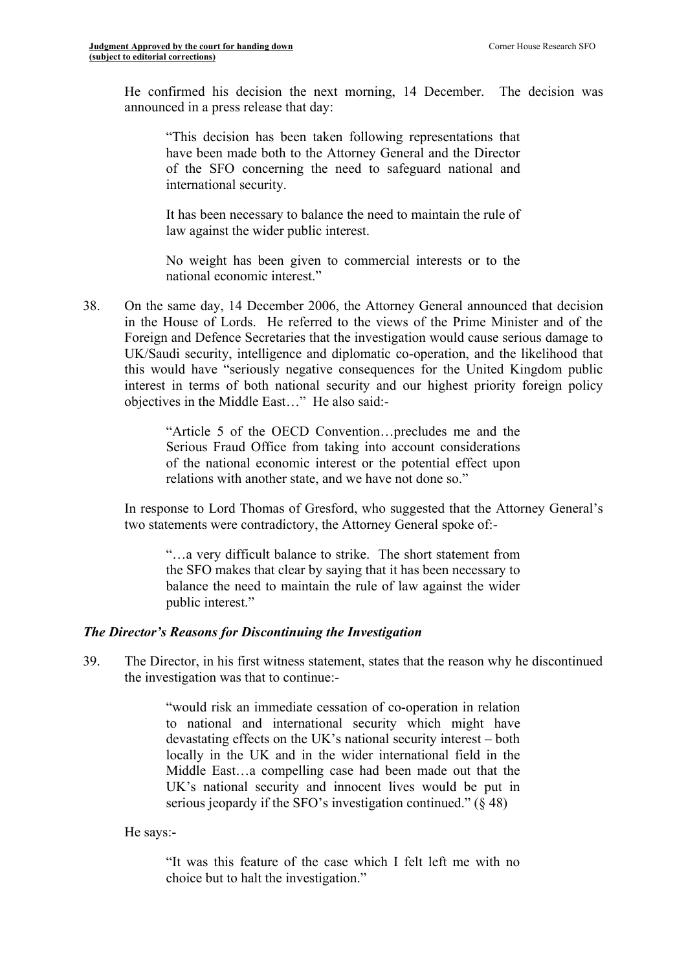He confirmed his decision the next morning, 14 December. The decision was announced in a press release that day:

"This decision has been taken following representations that have been made both to the Attorney General and the Director of the SFO concerning the need to safeguard national and international security.

It has been necessary to balance the need to maintain the rule of law against the wider public interest.

No weight has been given to commercial interests or to the national economic interest."

38. On the same day, 14 December 2006, the Attorney General announced that decision in the House of Lords. He referred to the views of the Prime Minister and of the Foreign and Defence Secretaries that the investigation would cause serious damage to UK/Saudi security, intelligence and diplomatic co-operation, and the likelihood that this would have "seriously negative consequences for the United Kingdom public interest in terms of both national security and our highest priority foreign policy objectives in the Middle East…" He also said:-

> "Article 5 of the OECD Convention…precludes me and the Serious Fraud Office from taking into account considerations of the national economic interest or the potential effect upon relations with another state, and we have not done so."

In response to Lord Thomas of Gresford, who suggested that the Attorney General's two statements were contradictory, the Attorney General spoke of:-

"…a very difficult balance to strike. The short statement from the SFO makes that clear by saying that it has been necessary to balance the need to maintain the rule of law against the wider public interest."

# *The Director's Reasons for Discontinuing the Investigation*

39. The Director, in his first witness statement, states that the reason why he discontinued the investigation was that to continue:-

> "would risk an immediate cessation of co-operation in relation to national and international security which might have devastating effects on the UK's national security interest – both locally in the UK and in the wider international field in the Middle East…a compelling case had been made out that the UK's national security and innocent lives would be put in serious jeopardy if the SFO's investigation continued."  $(848)$

He says:-

"It was this feature of the case which I felt left me with no choice but to halt the investigation."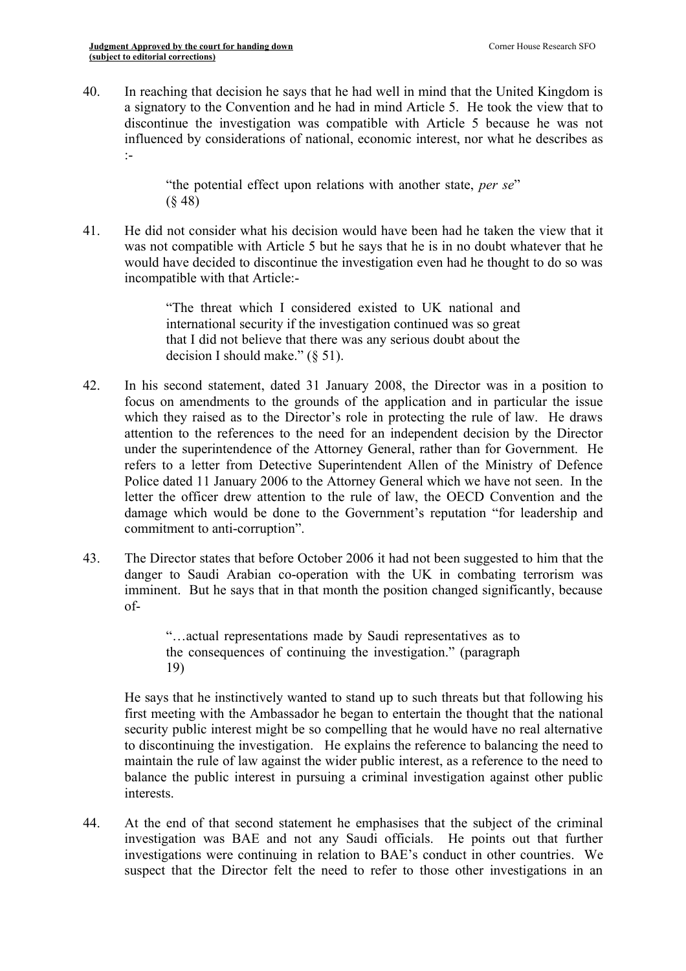40. In reaching that decision he says that he had well in mind that the United Kingdom is a signatory to the Convention and he had in mind Article 5. He took the view that to discontinue the investigation was compatible with Article 5 because he was not influenced by considerations of national, economic interest, nor what he describes as :-

> "the potential effect upon relations with another state, *per se*" (§ 48)

41. He did not consider what his decision would have been had he taken the view that it was not compatible with Article 5 but he says that he is in no doubt whatever that he would have decided to discontinue the investigation even had he thought to do so was incompatible with that Article:-

> "The threat which I considered existed to UK national and international security if the investigation continued was so great that I did not believe that there was any serious doubt about the decision I should make." (§ 51).

- 42. In his second statement, dated 31 January 2008, the Director was in a position to focus on amendments to the grounds of the application and in particular the issue which they raised as to the Director's role in protecting the rule of law. He draws attention to the references to the need for an independent decision by the Director under the superintendence of the Attorney General, rather than for Government. He refers to a letter from Detective Superintendent Allen of the Ministry of Defence Police dated 11 January 2006 to the Attorney General which we have not seen. In the letter the officer drew attention to the rule of law, the OECD Convention and the damage which would be done to the Government's reputation "for leadership and commitment to anti-corruption".
- 43. The Director states that before October 2006 it had not been suggested to him that the danger to Saudi Arabian co-operation with the UK in combating terrorism was imminent. But he says that in that month the position changed significantly, because of-

"…actual representations made by Saudi representatives as to the consequences of continuing the investigation." (paragraph 19)

He says that he instinctively wanted to stand up to such threats but that following his first meeting with the Ambassador he began to entertain the thought that the national security public interest might be so compelling that he would have no real alternative to discontinuing the investigation. He explains the reference to balancing the need to maintain the rule of law against the wider public interest, as a reference to the need to balance the public interest in pursuing a criminal investigation against other public interests.

44. At the end of that second statement he emphasises that the subject of the criminal investigation was BAE and not any Saudi officials. He points out that further investigations were continuing in relation to BAE's conduct in other countries. We suspect that the Director felt the need to refer to those other investigations in an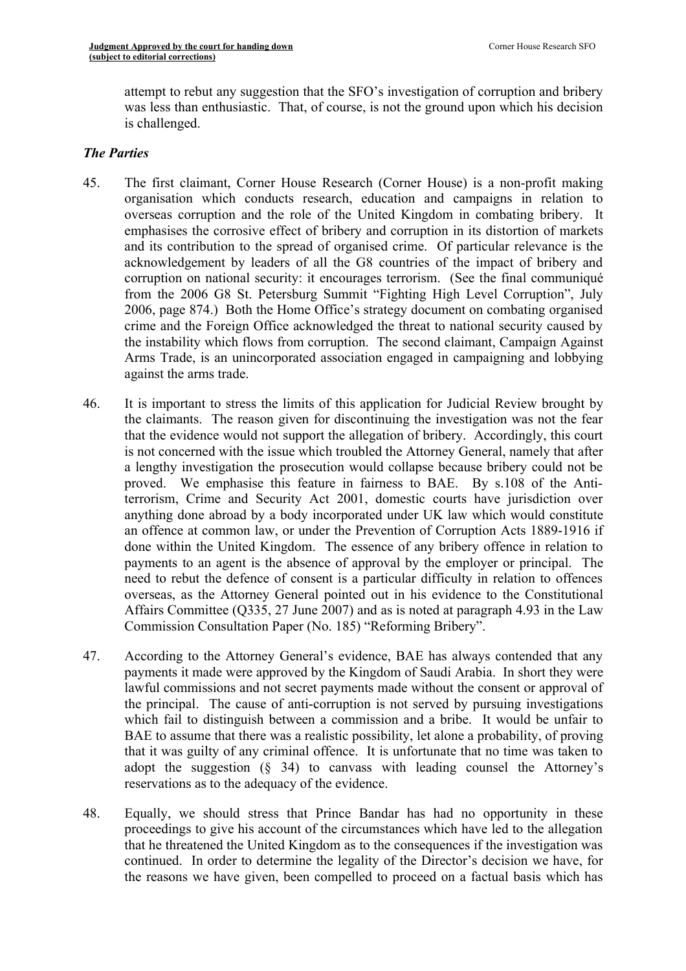attempt to rebut any suggestion that the SFO's investigation of corruption and bribery was less than enthusiastic. That, of course, is not the ground upon which his decision is challenged.

## *The Parties*

- 45. The first claimant, Corner House Research (Corner House) is a non-profit making organisation which conducts research, education and campaigns in relation to overseas corruption and the role of the United Kingdom in combating bribery. It emphasises the corrosive effect of bribery and corruption in its distortion of markets and its contribution to the spread of organised crime. Of particular relevance is the acknowledgement by leaders of all the G8 countries of the impact of bribery and corruption on national security: it encourages terrorism. (See the final communiqué from the 2006 G8 St. Petersburg Summit "Fighting High Level Corruption", July 2006, page 874.) Both the Home Office's strategy document on combating organised crime and the Foreign Office acknowledged the threat to national security caused by the instability which flows from corruption. The second claimant, Campaign Against Arms Trade, is an unincorporated association engaged in campaigning and lobbying against the arms trade.
- 46. It is important to stress the limits of this application for Judicial Review brought by the claimants. The reason given for discontinuing the investigation was not the fear that the evidence would not support the allegation of bribery. Accordingly, this court is not concerned with the issue which troubled the Attorney General, namely that after a lengthy investigation the prosecution would collapse because bribery could not be proved. We emphasise this feature in fairness to BAE. By s.108 of the Antiterrorism, Crime and Security Act 2001, domestic courts have jurisdiction over anything done abroad by a body incorporated under UK law which would constitute an offence at common law, or under the Prevention of Corruption Acts 1889-1916 if done within the United Kingdom. The essence of any bribery offence in relation to payments to an agent is the absence of approval by the employer or principal. The need to rebut the defence of consent is a particular difficulty in relation to offences overseas, as the Attorney General pointed out in his evidence to the Constitutional Affairs Committee (Q335, 27 June 2007) and as is noted at paragraph 4.93 in the Law Commission Consultation Paper (No. 185) "Reforming Bribery".
- 47. According to the Attorney General's evidence, BAE has always contended that any payments it made were approved by the Kingdom of Saudi Arabia. In short they were lawful commissions and not secret payments made without the consent or approval of the principal. The cause of anti-corruption is not served by pursuing investigations which fail to distinguish between a commission and a bribe. It would be unfair to BAE to assume that there was a realistic possibility, let alone a probability, of proving that it was guilty of any criminal offence. It is unfortunate that no time was taken to adopt the suggestion  $(\S$  34) to canvass with leading counsel the Attorney's reservations as to the adequacy of the evidence.
- 48. Equally, we should stress that Prince Bandar has had no opportunity in these proceedings to give his account of the circumstances which have led to the allegation that he threatened the United Kingdom as to the consequences if the investigation was continued. In order to determine the legality of the Director's decision we have, for the reasons we have given, been compelled to proceed on a factual basis which has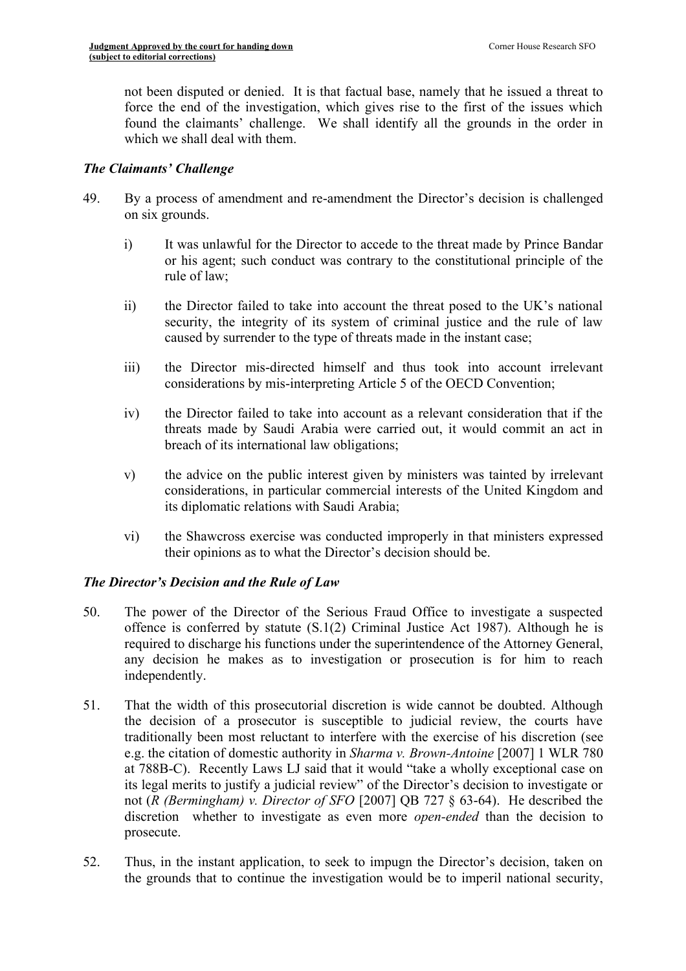not been disputed or denied. It is that factual base, namely that he issued a threat to force the end of the investigation, which gives rise to the first of the issues which found the claimants' challenge. We shall identify all the grounds in the order in which we shall deal with them.

# *The Claimants' Challenge*

- 49. By a process of amendment and re-amendment the Director's decision is challenged on six grounds.
	- i) It was unlawful for the Director to accede to the threat made by Prince Bandar or his agent; such conduct was contrary to the constitutional principle of the rule of law;
	- ii) the Director failed to take into account the threat posed to the UK's national security, the integrity of its system of criminal justice and the rule of law caused by surrender to the type of threats made in the instant case;
	- iii) the Director mis-directed himself and thus took into account irrelevant considerations by mis-interpreting Article 5 of the OECD Convention;
	- iv) the Director failed to take into account as a relevant consideration that if the threats made by Saudi Arabia were carried out, it would commit an act in breach of its international law obligations;
	- v) the advice on the public interest given by ministers was tainted by irrelevant considerations, in particular commercial interests of the United Kingdom and its diplomatic relations with Saudi Arabia;
	- vi) the Shawcross exercise was conducted improperly in that ministers expressed their opinions as to what the Director's decision should be.

# *The Director's Decision and the Rule of Law*

- 50. The power of the Director of the Serious Fraud Office to investigate a suspected offence is conferred by statute (S.1(2) Criminal Justice Act 1987). Although he is required to discharge his functions under the superintendence of the Attorney General, any decision he makes as to investigation or prosecution is for him to reach independently.
- 51. That the width of this prosecutorial discretion is wide cannot be doubted. Although the decision of a prosecutor is susceptible to judicial review, the courts have traditionally been most reluctant to interfere with the exercise of his discretion (see e.g. the citation of domestic authority in *Sharma v. Brown-Antoine* [2007] 1 WLR 780 at 788B-C). Recently Laws LJ said that it would "take a wholly exceptional case on its legal merits to justify a judicial review" of the Director's decision to investigate or not (*R (Bermingham) v. Director of SFO* [2007] QB 727 § 63-64). He described the discretion whether to investigate as even more *open-ended* than the decision to prosecute.
- 52. Thus, in the instant application, to seek to impugn the Director's decision, taken on the grounds that to continue the investigation would be to imperil national security,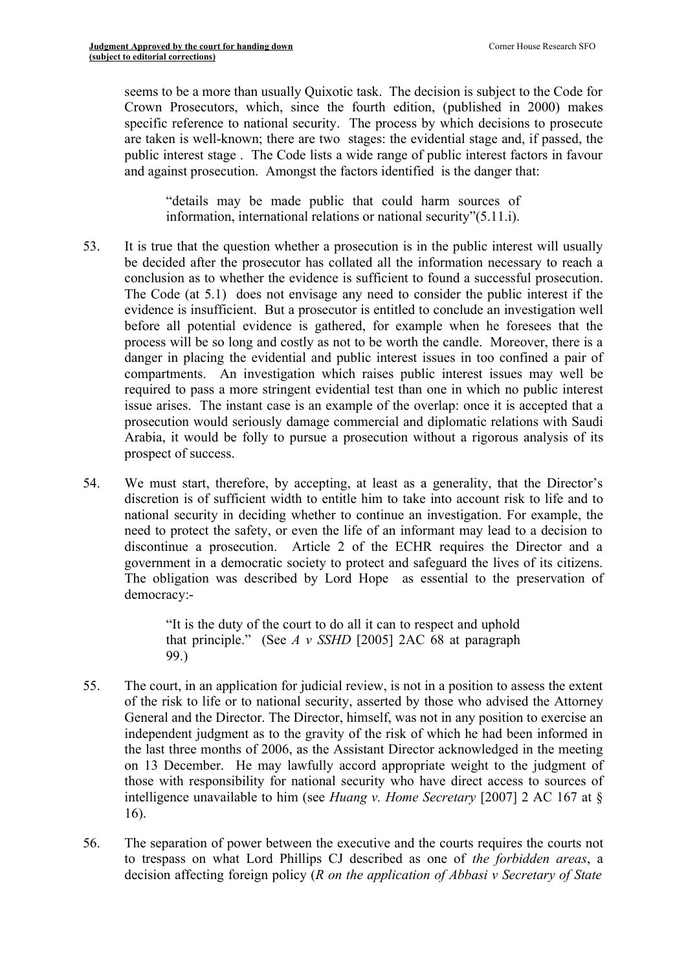seems to be a more than usually Quixotic task. The decision is subject to the Code for Crown Prosecutors, which, since the fourth edition, (published in 2000) makes specific reference to national security. The process by which decisions to prosecute are taken is well-known; there are two stages: the evidential stage and, if passed, the public interest stage . The Code lists a wide range of public interest factors in favour and against prosecution. Amongst the factors identified is the danger that:

"details may be made public that could harm sources of information, international relations or national security"(5.11.i).

- 53. It is true that the question whether a prosecution is in the public interest will usually be decided after the prosecutor has collated all the information necessary to reach a conclusion as to whether the evidence is sufficient to found a successful prosecution. The Code (at 5.1) does not envisage any need to consider the public interest if the evidence is insufficient. But a prosecutor is entitled to conclude an investigation well before all potential evidence is gathered, for example when he foresees that the process will be so long and costly as not to be worth the candle. Moreover, there is a danger in placing the evidential and public interest issues in too confined a pair of compartments. An investigation which raises public interest issues may well be required to pass a more stringent evidential test than one in which no public interest issue arises. The instant case is an example of the overlap: once it is accepted that a prosecution would seriously damage commercial and diplomatic relations with Saudi Arabia, it would be folly to pursue a prosecution without a rigorous analysis of its prospect of success.
- 54. We must start, therefore, by accepting, at least as a generality, that the Director's discretion is of sufficient width to entitle him to take into account risk to life and to national security in deciding whether to continue an investigation. For example, the need to protect the safety, or even the life of an informant may lead to a decision to discontinue a prosecution. Article 2 of the ECHR requires the Director and a government in a democratic society to protect and safeguard the lives of its citizens. The obligation was described by Lord Hope as essential to the preservation of democracy:-

"It is the duty of the court to do all it can to respect and uphold that principle." (See *A v SSHD* [2005] 2AC 68 at paragraph 99.)

- 55. The court, in an application for judicial review, is not in a position to assess the extent of the risk to life or to national security, asserted by those who advised the Attorney General and the Director. The Director, himself, was not in any position to exercise an independent judgment as to the gravity of the risk of which he had been informed in the last three months of 2006, as the Assistant Director acknowledged in the meeting on 13 December. He may lawfully accord appropriate weight to the judgment of those with responsibility for national security who have direct access to sources of intelligence unavailable to him (see *Huang v. Home Secretary* [2007] 2 AC 167 at § 16).
- 56. The separation of power between the executive and the courts requires the courts not to trespass on what Lord Phillips CJ described as one of *the forbidden areas*, a decision affecting foreign policy (*R on the application of Abbasi v Secretary of State*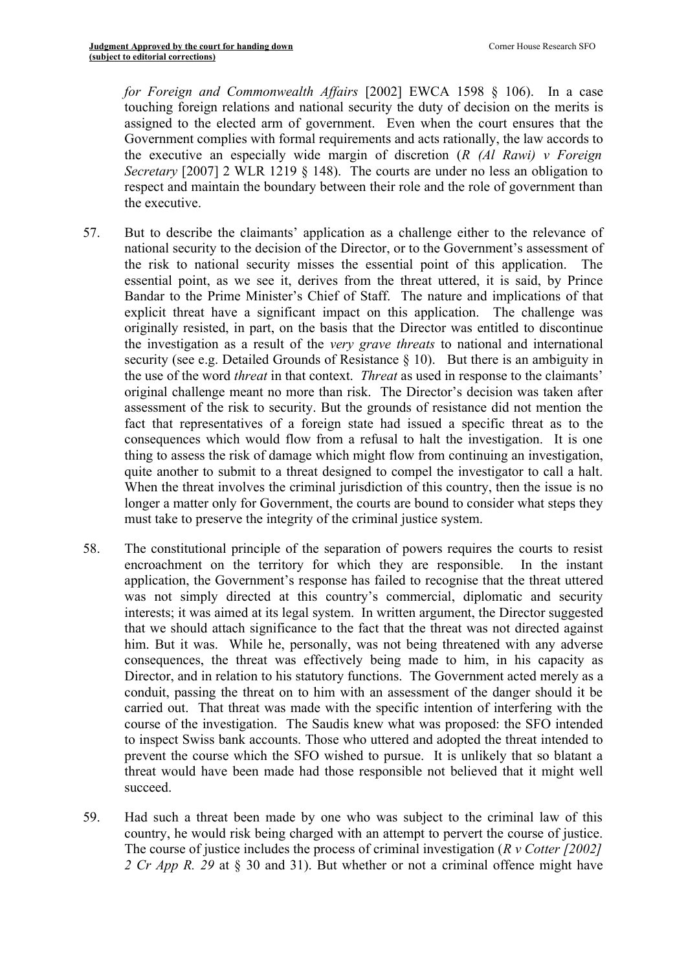*for Foreign and Commonwealth Affairs* [2002] EWCA 1598 § 106). In a case touching foreign relations and national security the duty of decision on the merits is assigned to the elected arm of government. Even when the court ensures that the Government complies with formal requirements and acts rationally, the law accords to the executive an especially wide margin of discretion (*R (Al Rawi) v Foreign Secretary* [2007] 2 WLR 1219  $\S$  148). The courts are under no less an obligation to respect and maintain the boundary between their role and the role of government than the executive.

- 57. But to describe the claimants' application as a challenge either to the relevance of national security to the decision of the Director, or to the Government's assessment of the risk to national security misses the essential point of this application. The essential point, as we see it, derives from the threat uttered, it is said, by Prince Bandar to the Prime Minister's Chief of Staff. The nature and implications of that explicit threat have a significant impact on this application. The challenge was originally resisted, in part, on the basis that the Director was entitled to discontinue the investigation as a result of the *very grave threats* to national and international security (see e.g. Detailed Grounds of Resistance § 10). But there is an ambiguity in the use of the word *threat* in that context. *Threat* as used in response to the claimants' original challenge meant no more than risk. The Director's decision was taken after assessment of the risk to security. But the grounds of resistance did not mention the fact that representatives of a foreign state had issued a specific threat as to the consequences which would flow from a refusal to halt the investigation. It is one thing to assess the risk of damage which might flow from continuing an investigation, quite another to submit to a threat designed to compel the investigator to call a halt. When the threat involves the criminal jurisdiction of this country, then the issue is no longer a matter only for Government, the courts are bound to consider what steps they must take to preserve the integrity of the criminal justice system.
- 58. The constitutional principle of the separation of powers requires the courts to resist encroachment on the territory for which they are responsible. In the instant application, the Government's response has failed to recognise that the threat uttered was not simply directed at this country's commercial, diplomatic and security interests; it was aimed at its legal system. In written argument, the Director suggested that we should attach significance to the fact that the threat was not directed against him. But it was. While he, personally, was not being threatened with any adverse consequences, the threat was effectively being made to him, in his capacity as Director, and in relation to his statutory functions. The Government acted merely as a conduit, passing the threat on to him with an assessment of the danger should it be carried out. That threat was made with the specific intention of interfering with the course of the investigation. The Saudis knew what was proposed: the SFO intended to inspect Swiss bank accounts. Those who uttered and adopted the threat intended to prevent the course which the SFO wished to pursue. It is unlikely that so blatant a threat would have been made had those responsible not believed that it might well succeed.
- 59. Had such a threat been made by one who was subject to the criminal law of this country, he would risk being charged with an attempt to pervert the course of justice. The course of justice includes the process of criminal investigation (*R v Cotter [2002] 2 Cr App R. 29* at § 30 and 31). But whether or not a criminal offence might have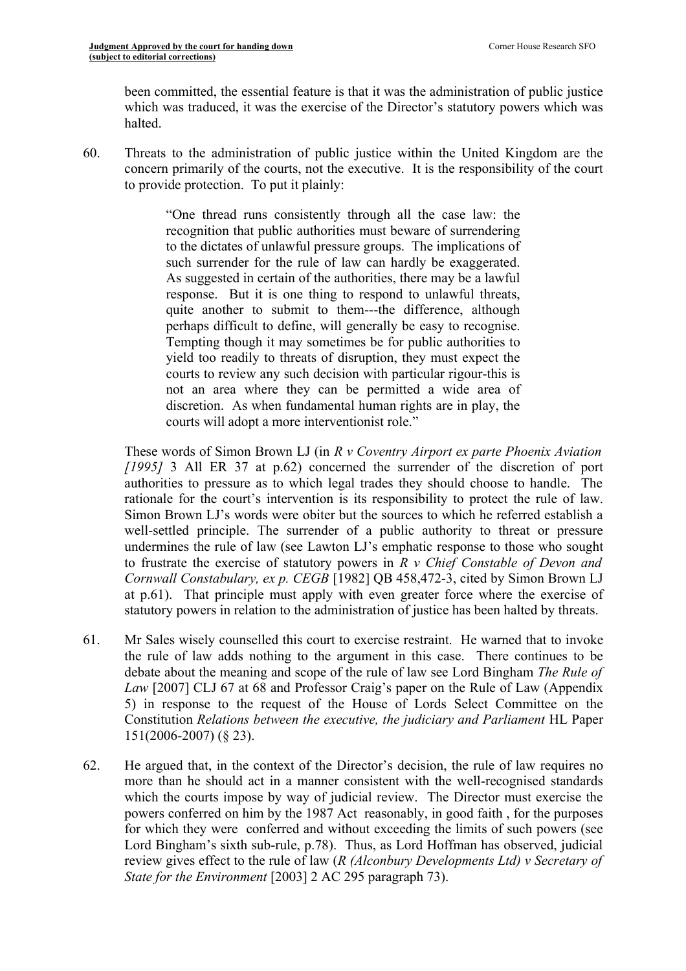been committed, the essential feature is that it was the administration of public justice which was traduced, it was the exercise of the Director's statutory powers which was halted.

60. Threats to the administration of public justice within the United Kingdom are the concern primarily of the courts, not the executive. It is the responsibility of the court to provide protection. To put it plainly:

> "One thread runs consistently through all the case law: the recognition that public authorities must beware of surrendering to the dictates of unlawful pressure groups. The implications of such surrender for the rule of law can hardly be exaggerated. As suggested in certain of the authorities, there may be a lawful response. But it is one thing to respond to unlawful threats, quite another to submit to them---the difference, although perhaps difficult to define, will generally be easy to recognise. Tempting though it may sometimes be for public authorities to yield too readily to threats of disruption, they must expect the courts to review any such decision with particular rigour-this is not an area where they can be permitted a wide area of discretion. As when fundamental human rights are in play, the courts will adopt a more interventionist role."

These words of Simon Brown LJ (in *R v Coventry Airport ex parte Phoenix Aviation [1995]* 3 All ER 37 at p.62) concerned the surrender of the discretion of port authorities to pressure as to which legal trades they should choose to handle. The rationale for the court's intervention is its responsibility to protect the rule of law. Simon Brown LJ's words were obiter but the sources to which he referred establish a well-settled principle. The surrender of a public authority to threat or pressure undermines the rule of law (see Lawton LJ's emphatic response to those who sought to frustrate the exercise of statutory powers in *R v Chief Constable of Devon and Cornwall Constabulary, ex p. CEGB* [1982] QB 458,472-3, cited by Simon Brown LJ at p.61). That principle must apply with even greater force where the exercise of statutory powers in relation to the administration of justice has been halted by threats.

- 61. Mr Sales wisely counselled this court to exercise restraint. He warned that to invoke the rule of law adds nothing to the argument in this case. There continues to be debate about the meaning and scope of the rule of law see Lord Bingham *The Rule of Law* [2007] CLJ 67 at 68 and Professor Craig's paper on the Rule of Law (Appendix 5) in response to the request of the House of Lords Select Committee on the Constitution *Relations between the executive, the judiciary and Parliament* HL Paper 151(2006-2007) (§ 23).
- 62. He argued that, in the context of the Director's decision, the rule of law requires no more than he should act in a manner consistent with the well-recognised standards which the courts impose by way of judicial review. The Director must exercise the powers conferred on him by the 1987 Act reasonably, in good faith , for the purposes for which they were conferred and without exceeding the limits of such powers (see Lord Bingham's sixth sub-rule, p.78). Thus, as Lord Hoffman has observed, judicial review gives effect to the rule of law (*R (Alconbury Developments Ltd) v Secretary of State for the Environment* [2003] 2 AC 295 paragraph 73).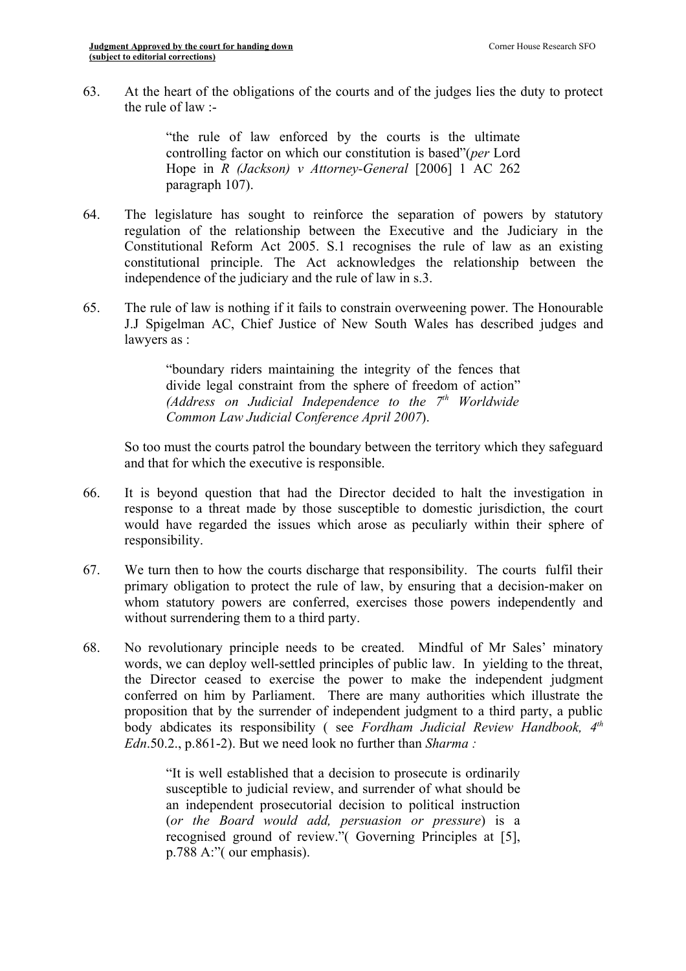63. At the heart of the obligations of the courts and of the judges lies the duty to protect the rule of law :-

> "the rule of law enforced by the courts is the ultimate controlling factor on which our constitution is based"(*per* Lord Hope in *R (Jackson) v Attorney-General* [2006] 1 AC 262 paragraph 107).

- 64. The legislature has sought to reinforce the separation of powers by statutory regulation of the relationship between the Executive and the Judiciary in the Constitutional Reform Act 2005. S.1 recognises the rule of law as an existing constitutional principle. The Act acknowledges the relationship between the independence of the judiciary and the rule of law in s.3.
- 65. The rule of law is nothing if it fails to constrain overweening power. The Honourable J.J Spigelman AC, Chief Justice of New South Wales has described judges and lawyers as :

"boundary riders maintaining the integrity of the fences that divide legal constraint from the sphere of freedom of action" *(Address on Judicial Independence to the 7 th Worldwide Common Law Judicial Conference April 2007*).

So too must the courts patrol the boundary between the territory which they safeguard and that for which the executive is responsible.

- 66. It is beyond question that had the Director decided to halt the investigation in response to a threat made by those susceptible to domestic jurisdiction, the court would have regarded the issues which arose as peculiarly within their sphere of responsibility.
- 67. We turn then to how the courts discharge that responsibility. The courts fulfil their primary obligation to protect the rule of law, by ensuring that a decision-maker on whom statutory powers are conferred, exercises those powers independently and without surrendering them to a third party.
- 68. No revolutionary principle needs to be created. Mindful of Mr Sales' minatory words, we can deploy well-settled principles of public law. In yielding to the threat, the Director ceased to exercise the power to make the independent judgment conferred on him by Parliament. There are many authorities which illustrate the proposition that by the surrender of independent judgment to a third party, a public body abdicates its responsibility ( see *Fordham Judicial Review Handbook, 4 th Edn*.50.2., p.861-2). But we need look no further than *Sharma :*

"It is well established that a decision to prosecute is ordinarily susceptible to judicial review, and surrender of what should be an independent prosecutorial decision to political instruction (*or the Board would add, persuasion or pressure*) is a recognised ground of review."( Governing Principles at [5], p.788 A:"( our emphasis).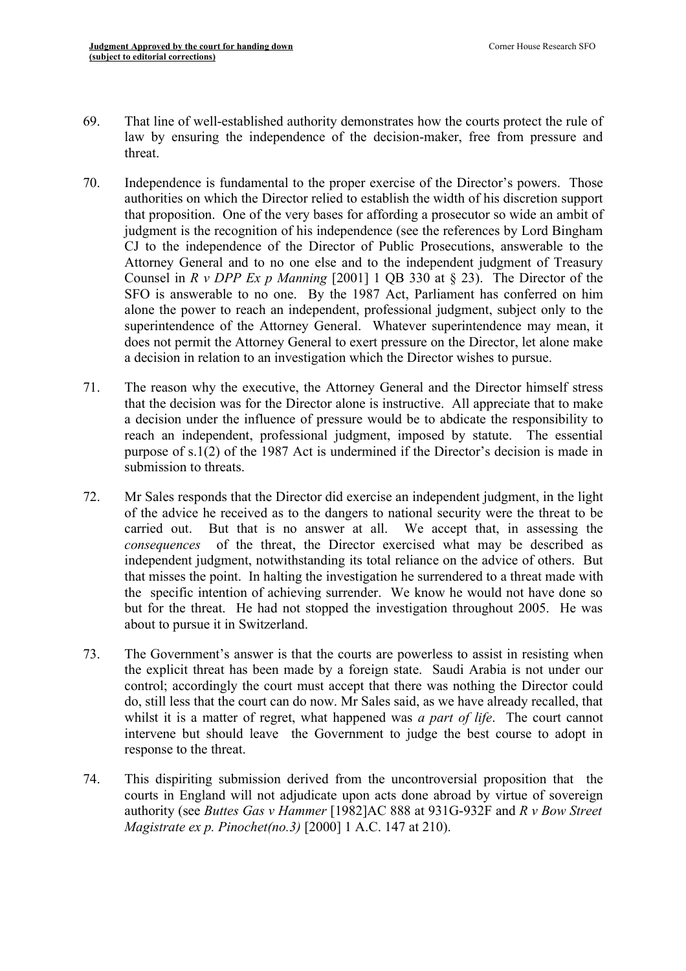- 69. That line of well-established authority demonstrates how the courts protect the rule of law by ensuring the independence of the decision-maker, free from pressure and threat.
- 70. Independence is fundamental to the proper exercise of the Director's powers. Those authorities on which the Director relied to establish the width of his discretion support that proposition. One of the very bases for affording a prosecutor so wide an ambit of judgment is the recognition of his independence (see the references by Lord Bingham CJ to the independence of the Director of Public Prosecutions, answerable to the Attorney General and to no one else and to the independent judgment of Treasury Counsel in *R v DPP Ex p Manning* [2001] 1 QB 330 at § 23). The Director of the SFO is answerable to no one. By the 1987 Act, Parliament has conferred on him alone the power to reach an independent, professional judgment, subject only to the superintendence of the Attorney General. Whatever superintendence may mean, it does not permit the Attorney General to exert pressure on the Director, let alone make a decision in relation to an investigation which the Director wishes to pursue.
- 71. The reason why the executive, the Attorney General and the Director himself stress that the decision was for the Director alone is instructive. All appreciate that to make a decision under the influence of pressure would be to abdicate the responsibility to reach an independent, professional judgment, imposed by statute. The essential purpose of s.1(2) of the 1987 Act is undermined if the Director's decision is made in submission to threats.
- 72. Mr Sales responds that the Director did exercise an independent judgment, in the light of the advice he received as to the dangers to national security were the threat to be carried out. But that is no answer at all. We accept that, in assessing the *consequences* of the threat, the Director exercised what may be described as independent judgment, notwithstanding its total reliance on the advice of others. But that misses the point. In halting the investigation he surrendered to a threat made with the specific intention of achieving surrender. We know he would not have done so but for the threat. He had not stopped the investigation throughout 2005. He was about to pursue it in Switzerland.
- 73. The Government's answer is that the courts are powerless to assist in resisting when the explicit threat has been made by a foreign state. Saudi Arabia is not under our control; accordingly the court must accept that there was nothing the Director could do, still less that the court can do now. Mr Sales said, as we have already recalled, that whilst it is a matter of regret, what happened was *a part of life*. The court cannot intervene but should leave the Government to judge the best course to adopt in response to the threat.
- 74. This dispiriting submission derived from the uncontroversial proposition that the courts in England will not adjudicate upon acts done abroad by virtue of sovereign authority (see *Buttes Gas v Hammer* [1982]AC 888 at 931G-932F and *R v Bow Street Magistrate ex p. Pinochet(no.3)* [2000] 1 A.C. 147 at 210).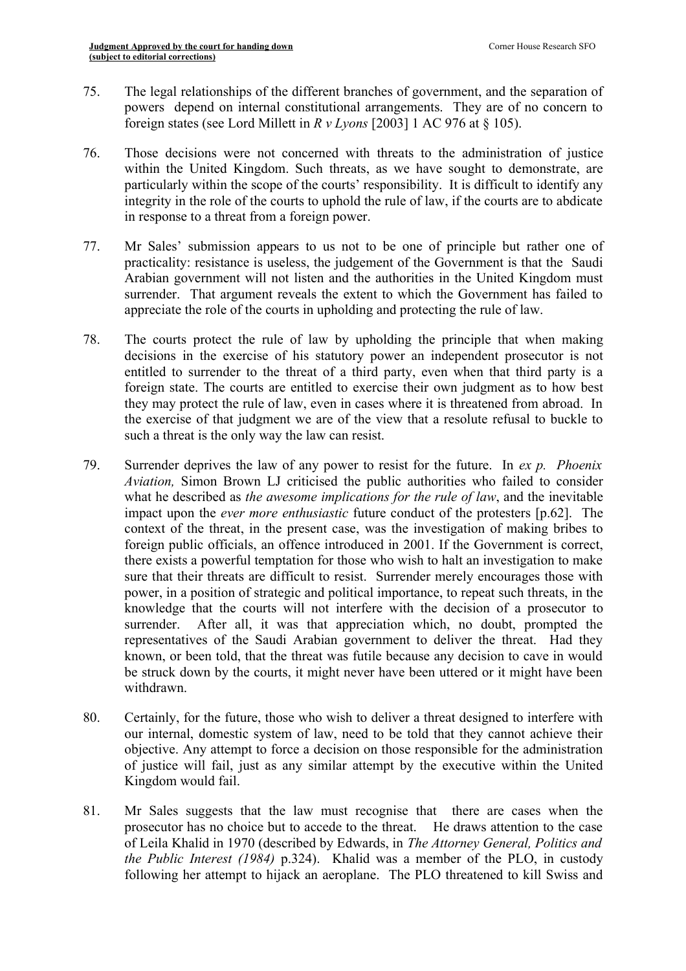- 75. The legal relationships of the different branches of government, and the separation of powers depend on internal constitutional arrangements. They are of no concern to foreign states (see Lord Millett in *R v Lyons* [2003] 1 AC 976 at § 105).
- 76. Those decisions were not concerned with threats to the administration of justice within the United Kingdom. Such threats, as we have sought to demonstrate, are particularly within the scope of the courts' responsibility. It is difficult to identify any integrity in the role of the courts to uphold the rule of law, if the courts are to abdicate in response to a threat from a foreign power.
- 77. Mr Sales' submission appears to us not to be one of principle but rather one of practicality: resistance is useless, the judgement of the Government is that the Saudi Arabian government will not listen and the authorities in the United Kingdom must surrender. That argument reveals the extent to which the Government has failed to appreciate the role of the courts in upholding and protecting the rule of law.
- 78. The courts protect the rule of law by upholding the principle that when making decisions in the exercise of his statutory power an independent prosecutor is not entitled to surrender to the threat of a third party, even when that third party is a foreign state. The courts are entitled to exercise their own judgment as to how best they may protect the rule of law, even in cases where it is threatened from abroad. In the exercise of that judgment we are of the view that a resolute refusal to buckle to such a threat is the only way the law can resist.
- 79. Surrender deprives the law of any power to resist for the future. In *ex p. Phoenix Aviation,* Simon Brown LJ criticised the public authorities who failed to consider what he described as *the awesome implications for the rule of law*, and the inevitable impact upon the *ever more enthusiastic* future conduct of the protesters [p.62]. The context of the threat, in the present case, was the investigation of making bribes to foreign public officials, an offence introduced in 2001. If the Government is correct, there exists a powerful temptation for those who wish to halt an investigation to make sure that their threats are difficult to resist. Surrender merely encourages those with power, in a position of strategic and political importance, to repeat such threats, in the knowledge that the courts will not interfere with the decision of a prosecutor to surrender. After all, it was that appreciation which, no doubt, prompted the representatives of the Saudi Arabian government to deliver the threat. Had they known, or been told, that the threat was futile because any decision to cave in would be struck down by the courts, it might never have been uttered or it might have been withdrawn.
- 80. Certainly, for the future, those who wish to deliver a threat designed to interfere with our internal, domestic system of law, need to be told that they cannot achieve their objective. Any attempt to force a decision on those responsible for the administration of justice will fail, just as any similar attempt by the executive within the United Kingdom would fail.
- 81. Mr Sales suggests that the law must recognise that there are cases when the prosecutor has no choice but to accede to the threat. He draws attention to the case of Leila Khalid in 1970 (described by Edwards, in *The Attorney General, Politics and the Public Interest (1984)* p.324). Khalid was a member of the PLO, in custody following her attempt to hijack an aeroplane. The PLO threatened to kill Swiss and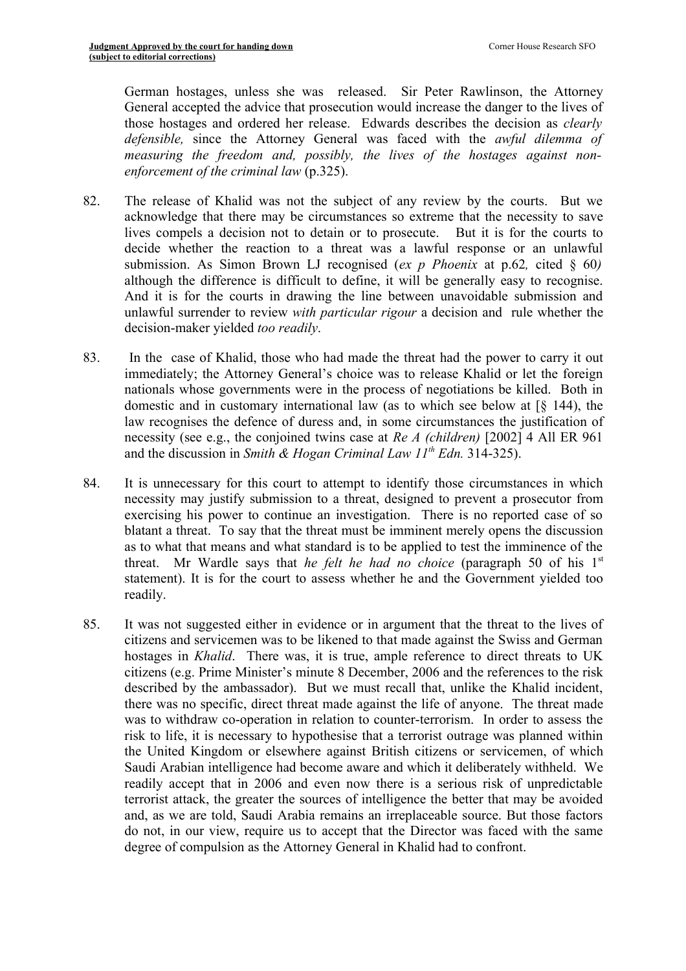German hostages, unless she was released. Sir Peter Rawlinson, the Attorney General accepted the advice that prosecution would increase the danger to the lives of those hostages and ordered her release. Edwards describes the decision as *clearly defensible,* since the Attorney General was faced with the *awful dilemma of measuring the freedom and, possibly, the lives of the hostages against nonenforcement of the criminal law* (p.325).

- 82. The release of Khalid was not the subject of any review by the courts. But we acknowledge that there may be circumstances so extreme that the necessity to save lives compels a decision not to detain or to prosecute. But it is for the courts to decide whether the reaction to a threat was a lawful response or an unlawful submission. As Simon Brown LJ recognised (*ex p Phoenix* at p.62*,* cited § 60*)* although the difference is difficult to define, it will be generally easy to recognise. And it is for the courts in drawing the line between unavoidable submission and unlawful surrender to review *with particular rigour* a decision and rule whether the decision-maker yielded *too readily*.
- 83. In the case of Khalid, those who had made the threat had the power to carry it out immediately; the Attorney General's choice was to release Khalid or let the foreign nationals whose governments were in the process of negotiations be killed. Both in domestic and in customary international law (as to which see below at [§ 144), the law recognises the defence of duress and, in some circumstances the justification of necessity (see e.g., the conjoined twins case at *Re A (children)* [2002] 4 All ER 961 and the discussion in *Smith & Hogan Criminal Law 11<sup>th</sup> Edn.* 314-325).
- 84. It is unnecessary for this court to attempt to identify those circumstances in which necessity may justify submission to a threat, designed to prevent a prosecutor from exercising his power to continue an investigation. There is no reported case of so blatant a threat. To say that the threat must be imminent merely opens the discussion as to what that means and what standard is to be applied to test the imminence of the threat. Mr Wardle says that *he felt he had no choice* (paragraph 50 of his 1 st statement). It is for the court to assess whether he and the Government yielded too readily.
- 85. It was not suggested either in evidence or in argument that the threat to the lives of citizens and servicemen was to be likened to that made against the Swiss and German hostages in *Khalid*. There was, it is true, ample reference to direct threats to UK citizens (e.g. Prime Minister's minute 8 December, 2006 and the references to the risk described by the ambassador). But we must recall that, unlike the Khalid incident, there was no specific, direct threat made against the life of anyone. The threat made was to withdraw co-operation in relation to counter-terrorism. In order to assess the risk to life, it is necessary to hypothesise that a terrorist outrage was planned within the United Kingdom or elsewhere against British citizens or servicemen, of which Saudi Arabian intelligence had become aware and which it deliberately withheld. We readily accept that in 2006 and even now there is a serious risk of unpredictable terrorist attack, the greater the sources of intelligence the better that may be avoided and, as we are told, Saudi Arabia remains an irreplaceable source. But those factors do not, in our view, require us to accept that the Director was faced with the same degree of compulsion as the Attorney General in Khalid had to confront.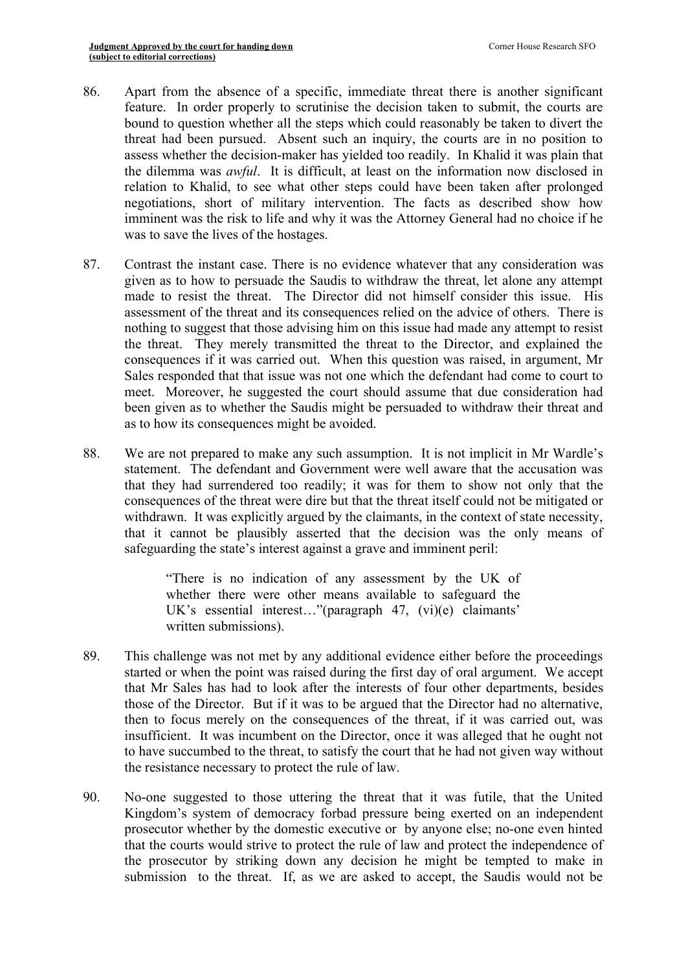- 86. Apart from the absence of a specific, immediate threat there is another significant feature. In order properly to scrutinise the decision taken to submit, the courts are bound to question whether all the steps which could reasonably be taken to divert the threat had been pursued. Absent such an inquiry, the courts are in no position to assess whether the decision-maker has yielded too readily. In Khalid it was plain that the dilemma was *awful*. It is difficult, at least on the information now disclosed in relation to Khalid, to see what other steps could have been taken after prolonged negotiations, short of military intervention. The facts as described show how imminent was the risk to life and why it was the Attorney General had no choice if he was to save the lives of the hostages.
- 87. Contrast the instant case. There is no evidence whatever that any consideration was given as to how to persuade the Saudis to withdraw the threat, let alone any attempt made to resist the threat. The Director did not himself consider this issue. His assessment of the threat and its consequences relied on the advice of others. There is nothing to suggest that those advising him on this issue had made any attempt to resist the threat. They merely transmitted the threat to the Director, and explained the consequences if it was carried out. When this question was raised, in argument, Mr Sales responded that that issue was not one which the defendant had come to court to meet. Moreover, he suggested the court should assume that due consideration had been given as to whether the Saudis might be persuaded to withdraw their threat and as to how its consequences might be avoided.
- 88. We are not prepared to make any such assumption. It is not implicit in Mr Wardle's statement. The defendant and Government were well aware that the accusation was that they had surrendered too readily; it was for them to show not only that the consequences of the threat were dire but that the threat itself could not be mitigated or withdrawn. It was explicitly argued by the claimants, in the context of state necessity, that it cannot be plausibly asserted that the decision was the only means of safeguarding the state's interest against a grave and imminent peril:

"There is no indication of any assessment by the UK of whether there were other means available to safeguard the UK's essential interest…"(paragraph 47, (vi)(e) claimants' written submissions).

- 89. This challenge was not met by any additional evidence either before the proceedings started or when the point was raised during the first day of oral argument. We accept that Mr Sales has had to look after the interests of four other departments, besides those of the Director. But if it was to be argued that the Director had no alternative, then to focus merely on the consequences of the threat, if it was carried out, was insufficient. It was incumbent on the Director, once it was alleged that he ought not to have succumbed to the threat, to satisfy the court that he had not given way without the resistance necessary to protect the rule of law.
- 90. No-one suggested to those uttering the threat that it was futile, that the United Kingdom's system of democracy forbad pressure being exerted on an independent prosecutor whether by the domestic executive or by anyone else; no-one even hinted that the courts would strive to protect the rule of law and protect the independence of the prosecutor by striking down any decision he might be tempted to make in submission to the threat. If, as we are asked to accept, the Saudis would not be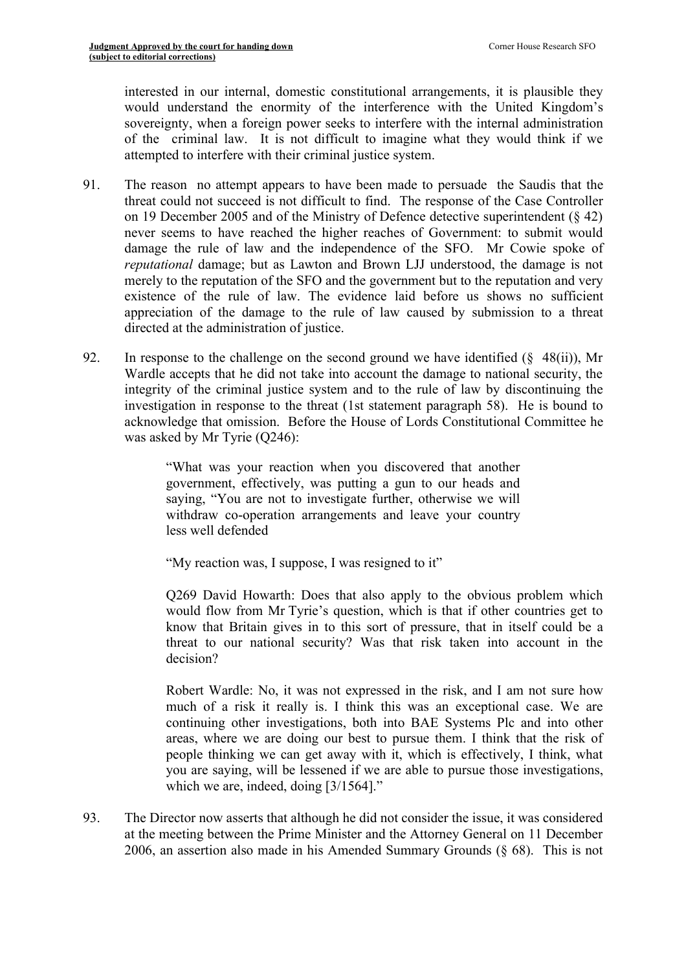interested in our internal, domestic constitutional arrangements, it is plausible they would understand the enormity of the interference with the United Kingdom's sovereignty, when a foreign power seeks to interfere with the internal administration of the criminal law. It is not difficult to imagine what they would think if we attempted to interfere with their criminal justice system.

- 91. The reason no attempt appears to have been made to persuade the Saudis that the threat could not succeed is not difficult to find. The response of the Case Controller on 19 December 2005 and of the Ministry of Defence detective superintendent (§ 42) never seems to have reached the higher reaches of Government: to submit would damage the rule of law and the independence of the SFO. Mr Cowie spoke of *reputational* damage; but as Lawton and Brown LJJ understood, the damage is not merely to the reputation of the SFO and the government but to the reputation and very existence of the rule of law. The evidence laid before us shows no sufficient appreciation of the damage to the rule of law caused by submission to a threat directed at the administration of justice.
- 92. In response to the challenge on the second ground we have identified  $(\S$  48(ii)), Mr Wardle accepts that he did not take into account the damage to national security, the integrity of the criminal justice system and to the rule of law by discontinuing the investigation in response to the threat (1st statement paragraph 58). He is bound to acknowledge that omission. Before the House of Lords Constitutional Committee he was asked by Mr Tyrie (Q246):

"What was your reaction when you discovered that another government, effectively, was putting a gun to our heads and saying, "You are not to investigate further, otherwise we will withdraw co-operation arrangements and leave your country less well defended

"My reaction was, I suppose, I was resigned to it"

Q269 David Howarth: Does that also apply to the obvious problem which would flow from Mr Tyrie's question, which is that if other countries get to know that Britain gives in to this sort of pressure, that in itself could be a threat to our national security? Was that risk taken into account in the decision?

Robert Wardle: No, it was not expressed in the risk, and I am not sure how much of a risk it really is. I think this was an exceptional case. We are continuing other investigations, both into BAE Systems Plc and into other areas, where we are doing our best to pursue them. I think that the risk of people thinking we can get away with it, which is effectively, I think, what you are saying, will be lessened if we are able to pursue those investigations, which we are, indeed, doing [3/1564]."

93. The Director now asserts that although he did not consider the issue, it was considered at the meeting between the Prime Minister and the Attorney General on 11 December 2006, an assertion also made in his Amended Summary Grounds (§ 68). This is not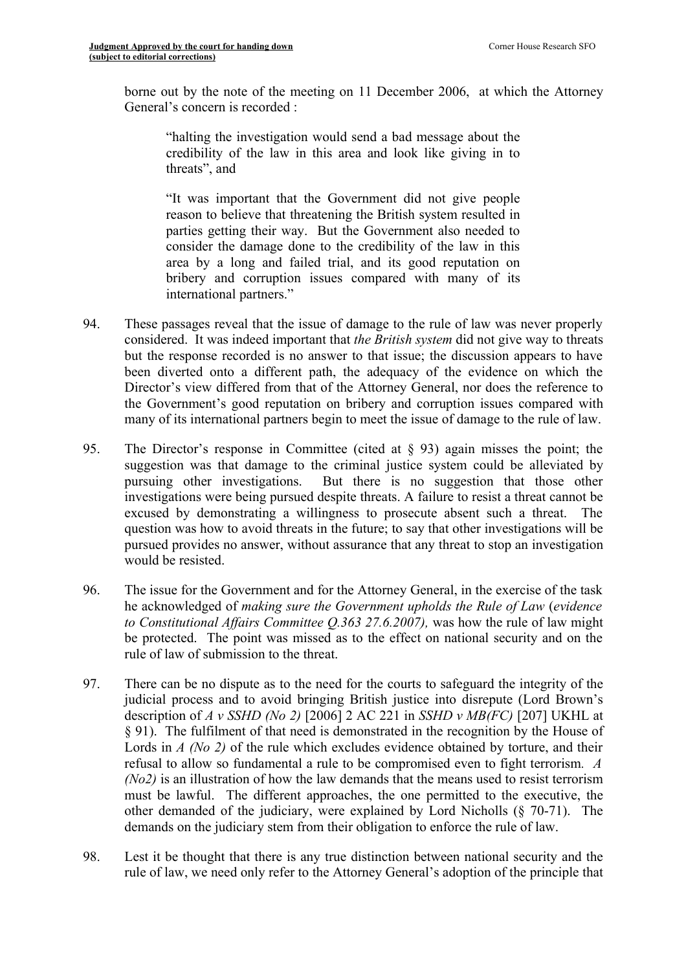borne out by the note of the meeting on 11 December 2006, at which the Attorney General's concern is recorded :

"halting the investigation would send a bad message about the credibility of the law in this area and look like giving in to threats", and

"It was important that the Government did not give people reason to believe that threatening the British system resulted in parties getting their way. But the Government also needed to consider the damage done to the credibility of the law in this area by a long and failed trial, and its good reputation on bribery and corruption issues compared with many of its international partners."

- 94. These passages reveal that the issue of damage to the rule of law was never properly considered. It was indeed important that *the British system* did not give way to threats but the response recorded is no answer to that issue; the discussion appears to have been diverted onto a different path, the adequacy of the evidence on which the Director's view differed from that of the Attorney General, nor does the reference to the Government's good reputation on bribery and corruption issues compared with many of its international partners begin to meet the issue of damage to the rule of law.
- 95. The Director's response in Committee (cited at § 93) again misses the point; the suggestion was that damage to the criminal justice system could be alleviated by pursuing other investigations. But there is no suggestion that those other investigations were being pursued despite threats. A failure to resist a threat cannot be excused by demonstrating a willingness to prosecute absent such a threat. The question was how to avoid threats in the future; to say that other investigations will be pursued provides no answer, without assurance that any threat to stop an investigation would be resisted.
- 96. The issue for the Government and for the Attorney General, in the exercise of the task he acknowledged of *making sure the Government upholds the Rule of Law* (*evidence to Constitutional Affairs Committee Q.363 27.6.2007),* was how the rule of law might be protected. The point was missed as to the effect on national security and on the rule of law of submission to the threat.
- 97. There can be no dispute as to the need for the courts to safeguard the integrity of the judicial process and to avoid bringing British justice into disrepute (Lord Brown's description of *A v SSHD (No 2)* [2006] 2 AC 221 in *SSHD v MB(FC)* [207] UKHL at § 91). The fulfilment of that need is demonstrated in the recognition by the House of Lords in *A (No 2)* of the rule which excludes evidence obtained by torture, and their refusal to allow so fundamental a rule to be compromised even to fight terrorism*. A (No2)* is an illustration of how the law demands that the means used to resist terrorism must be lawful. The different approaches, the one permitted to the executive, the other demanded of the judiciary, were explained by Lord Nicholls (§ 70-71). The demands on the judiciary stem from their obligation to enforce the rule of law.
- 98. Lest it be thought that there is any true distinction between national security and the rule of law, we need only refer to the Attorney General's adoption of the principle that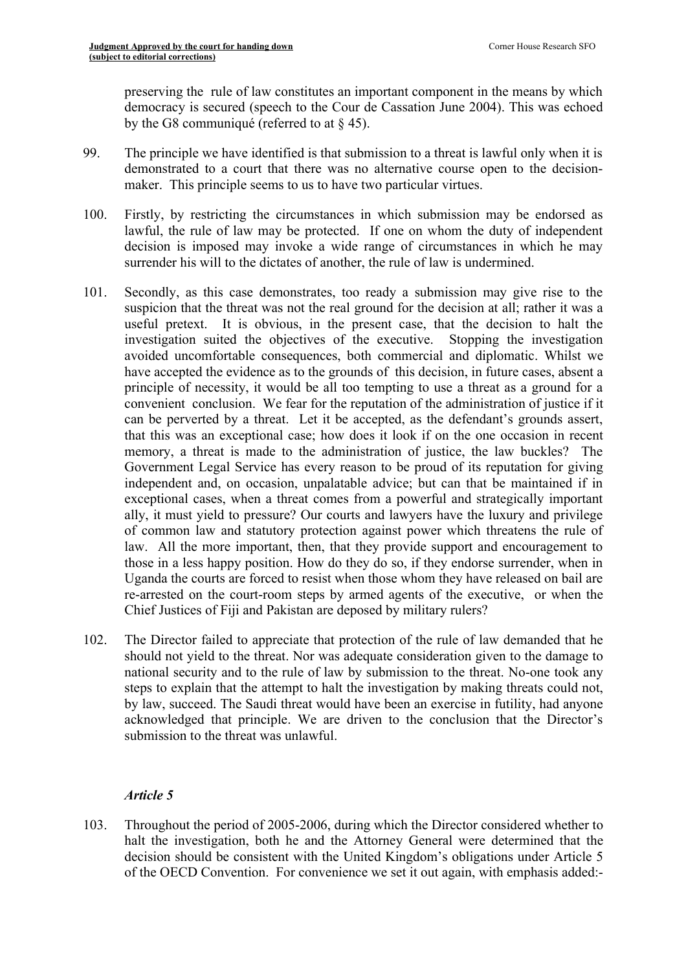preserving the rule of law constitutes an important component in the means by which democracy is secured (speech to the Cour de Cassation June 2004). This was echoed by the G8 communiqué (referred to at § 45).

- 99. The principle we have identified is that submission to a threat is lawful only when it is demonstrated to a court that there was no alternative course open to the decisionmaker. This principle seems to us to have two particular virtues.
- 100. Firstly, by restricting the circumstances in which submission may be endorsed as lawful, the rule of law may be protected. If one on whom the duty of independent decision is imposed may invoke a wide range of circumstances in which he may surrender his will to the dictates of another, the rule of law is undermined.
- 101. Secondly, as this case demonstrates, too ready a submission may give rise to the suspicion that the threat was not the real ground for the decision at all; rather it was a useful pretext. It is obvious, in the present case, that the decision to halt the investigation suited the objectives of the executive. Stopping the investigation avoided uncomfortable consequences, both commercial and diplomatic. Whilst we have accepted the evidence as to the grounds of this decision, in future cases, absent a principle of necessity, it would be all too tempting to use a threat as a ground for a convenient conclusion. We fear for the reputation of the administration of justice if it can be perverted by a threat. Let it be accepted, as the defendant's grounds assert, that this was an exceptional case; how does it look if on the one occasion in recent memory, a threat is made to the administration of justice, the law buckles? The Government Legal Service has every reason to be proud of its reputation for giving independent and, on occasion, unpalatable advice; but can that be maintained if in exceptional cases, when a threat comes from a powerful and strategically important ally, it must yield to pressure? Our courts and lawyers have the luxury and privilege of common law and statutory protection against power which threatens the rule of law. All the more important, then, that they provide support and encouragement to those in a less happy position. How do they do so, if they endorse surrender, when in Uganda the courts are forced to resist when those whom they have released on bail are re-arrested on the court-room steps by armed agents of the executive, or when the Chief Justices of Fiji and Pakistan are deposed by military rulers?
- 102. The Director failed to appreciate that protection of the rule of law demanded that he should not yield to the threat. Nor was adequate consideration given to the damage to national security and to the rule of law by submission to the threat. No-one took any steps to explain that the attempt to halt the investigation by making threats could not, by law, succeed. The Saudi threat would have been an exercise in futility, had anyone acknowledged that principle. We are driven to the conclusion that the Director's submission to the threat was unlawful.

# *Article 5*

103. Throughout the period of 2005-2006, during which the Director considered whether to halt the investigation, both he and the Attorney General were determined that the decision should be consistent with the United Kingdom's obligations under Article 5 of the OECD Convention. For convenience we set it out again, with emphasis added:-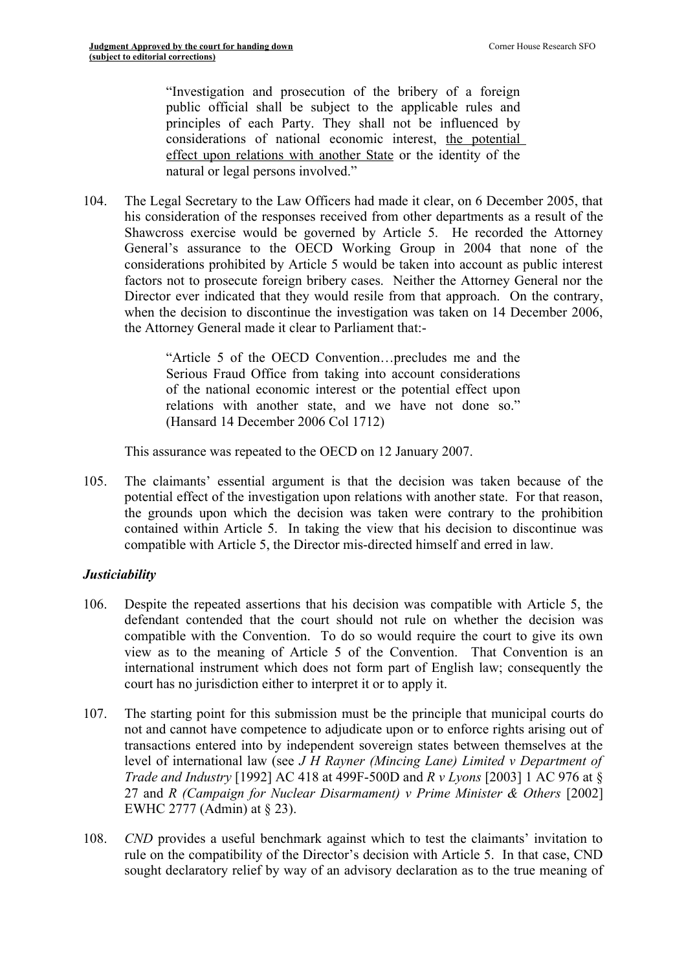"Investigation and prosecution of the bribery of a foreign public official shall be subject to the applicable rules and principles of each Party. They shall not be influenced by considerations of national economic interest, the potential effect upon relations with another State or the identity of the natural or legal persons involved."

104. The Legal Secretary to the Law Officers had made it clear, on 6 December 2005, that his consideration of the responses received from other departments as a result of the Shawcross exercise would be governed by Article 5. He recorded the Attorney General's assurance to the OECD Working Group in 2004 that none of the considerations prohibited by Article 5 would be taken into account as public interest factors not to prosecute foreign bribery cases. Neither the Attorney General nor the Director ever indicated that they would resile from that approach. On the contrary, when the decision to discontinue the investigation was taken on 14 December 2006, the Attorney General made it clear to Parliament that:-

> "Article 5 of the OECD Convention…precludes me and the Serious Fraud Office from taking into account considerations of the national economic interest or the potential effect upon relations with another state, and we have not done so." (Hansard 14 December 2006 Col 1712)

This assurance was repeated to the OECD on 12 January 2007.

105. The claimants' essential argument is that the decision was taken because of the potential effect of the investigation upon relations with another state. For that reason, the grounds upon which the decision was taken were contrary to the prohibition contained within Article 5. In taking the view that his decision to discontinue was compatible with Article 5, the Director mis-directed himself and erred in law.

### *Justiciability*

- 106. Despite the repeated assertions that his decision was compatible with Article 5, the defendant contended that the court should not rule on whether the decision was compatible with the Convention. To do so would require the court to give its own view as to the meaning of Article 5 of the Convention. That Convention is an international instrument which does not form part of English law; consequently the court has no jurisdiction either to interpret it or to apply it.
- 107. The starting point for this submission must be the principle that municipal courts do not and cannot have competence to adjudicate upon or to enforce rights arising out of transactions entered into by independent sovereign states between themselves at the level of international law (see *J H Rayner (Mincing Lane) Limited v Department of Trade and Industry* [1992] AC 418 at 499F-500D and *R v Lyons* [2003] 1 AC 976 at § 27 and *R (Campaign for Nuclear Disarmament) v Prime Minister & Others* [2002] EWHC 2777 (Admin) at § 23).
- 108. *CND* provides a useful benchmark against which to test the claimants' invitation to rule on the compatibility of the Director's decision with Article 5. In that case, CND sought declaratory relief by way of an advisory declaration as to the true meaning of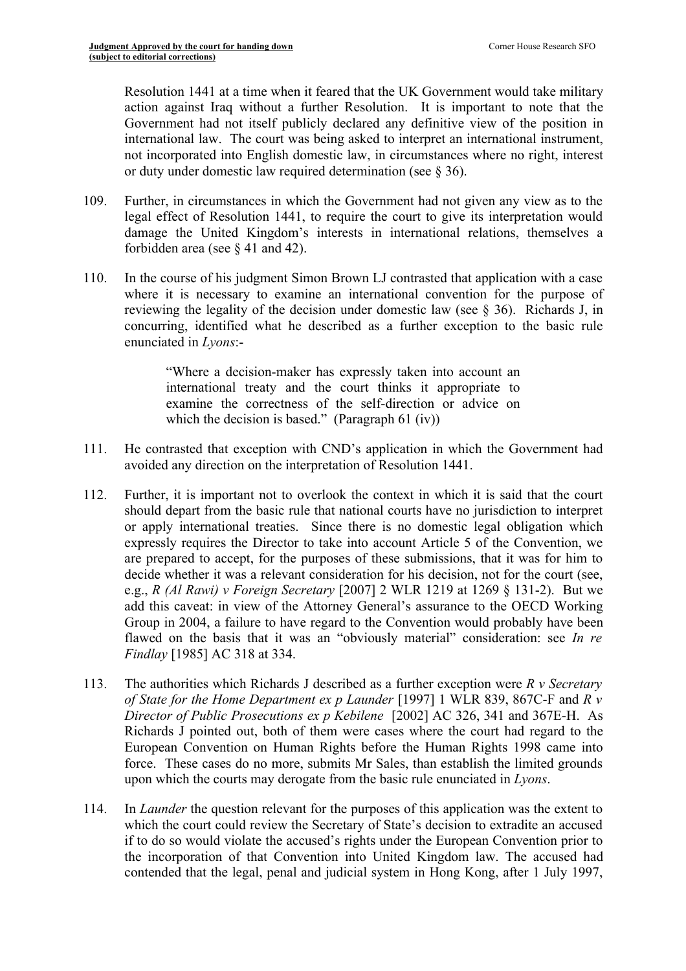Resolution 1441 at a time when it feared that the UK Government would take military action against Iraq without a further Resolution. It is important to note that the Government had not itself publicly declared any definitive view of the position in international law. The court was being asked to interpret an international instrument, not incorporated into English domestic law, in circumstances where no right, interest or duty under domestic law required determination (see § 36).

- 109. Further, in circumstances in which the Government had not given any view as to the legal effect of Resolution 1441, to require the court to give its interpretation would damage the United Kingdom's interests in international relations, themselves a forbidden area (see § 41 and 42).
- 110. In the course of his judgment Simon Brown LJ contrasted that application with a case where it is necessary to examine an international convention for the purpose of reviewing the legality of the decision under domestic law (see § 36). Richards J, in concurring, identified what he described as a further exception to the basic rule enunciated in *Lyons*:-

"Where a decision-maker has expressly taken into account an international treaty and the court thinks it appropriate to examine the correctness of the self-direction or advice on which the decision is based." (Paragraph 61 (iv))

- 111. He contrasted that exception with CND's application in which the Government had avoided any direction on the interpretation of Resolution 1441.
- 112. Further, it is important not to overlook the context in which it is said that the court should depart from the basic rule that national courts have no jurisdiction to interpret or apply international treaties. Since there is no domestic legal obligation which expressly requires the Director to take into account Article 5 of the Convention, we are prepared to accept, for the purposes of these submissions, that it was for him to decide whether it was a relevant consideration for his decision, not for the court (see, e.g., *R (Al Rawi) v Foreign Secretary* [2007] 2 WLR 1219 at 1269 § 131-2). But we add this caveat: in view of the Attorney General's assurance to the OECD Working Group in 2004, a failure to have regard to the Convention would probably have been flawed on the basis that it was an "obviously material" consideration: see *In re Findlay* [1985] AC 318 at 334.
- 113. The authorities which Richards J described as a further exception were *R v Secretary of State for the Home Department ex p Launder* [1997] 1 WLR 839, 867C-F and *R v Director of Public Prosecutions ex p Kebilene* [2002] AC 326, 341 and 367E-H. As Richards J pointed out, both of them were cases where the court had regard to the European Convention on Human Rights before the Human Rights 1998 came into force. These cases do no more, submits Mr Sales, than establish the limited grounds upon which the courts may derogate from the basic rule enunciated in *Lyons*.
- 114. In *Launder* the question relevant for the purposes of this application was the extent to which the court could review the Secretary of State's decision to extradite an accused if to do so would violate the accused's rights under the European Convention prior to the incorporation of that Convention into United Kingdom law. The accused had contended that the legal, penal and judicial system in Hong Kong, after 1 July 1997,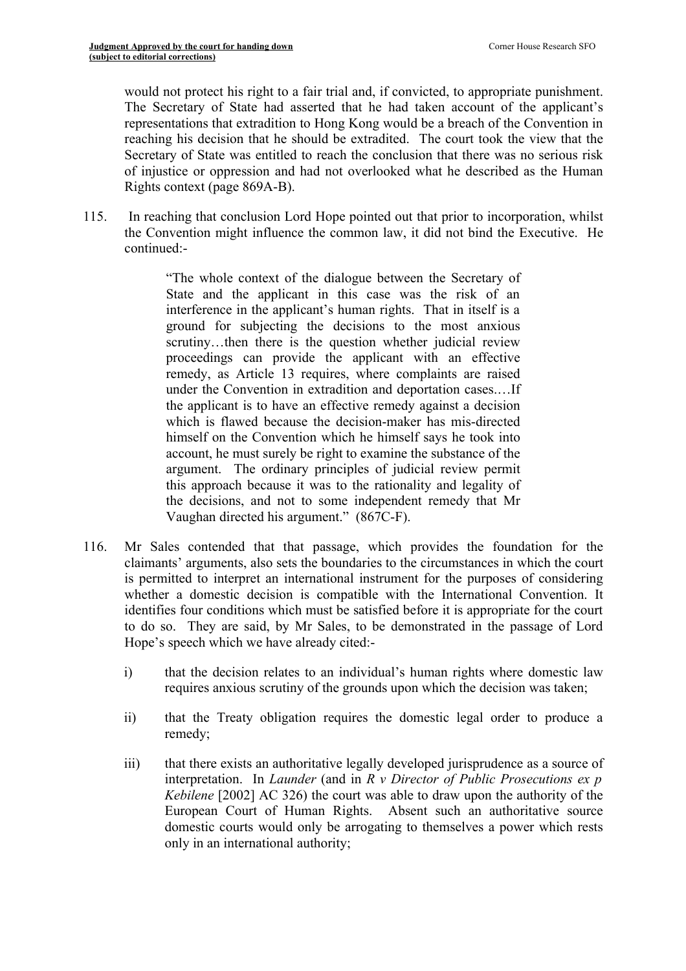would not protect his right to a fair trial and, if convicted, to appropriate punishment. The Secretary of State had asserted that he had taken account of the applicant's representations that extradition to Hong Kong would be a breach of the Convention in reaching his decision that he should be extradited. The court took the view that the Secretary of State was entitled to reach the conclusion that there was no serious risk of injustice or oppression and had not overlooked what he described as the Human Rights context (page 869A-B).

115. In reaching that conclusion Lord Hope pointed out that prior to incorporation, whilst the Convention might influence the common law, it did not bind the Executive. He continued:-

> "The whole context of the dialogue between the Secretary of State and the applicant in this case was the risk of an interference in the applicant's human rights. That in itself is a ground for subjecting the decisions to the most anxious scrutiny...then there is the question whether judicial review proceedings can provide the applicant with an effective remedy, as Article 13 requires, where complaints are raised under the Convention in extradition and deportation cases.…If the applicant is to have an effective remedy against a decision which is flawed because the decision-maker has mis-directed himself on the Convention which he himself says he took into account, he must surely be right to examine the substance of the argument. The ordinary principles of judicial review permit this approach because it was to the rationality and legality of the decisions, and not to some independent remedy that Mr Vaughan directed his argument." (867C-F).

- 116. Mr Sales contended that that passage, which provides the foundation for the claimants' arguments, also sets the boundaries to the circumstances in which the court is permitted to interpret an international instrument for the purposes of considering whether a domestic decision is compatible with the International Convention. It identifies four conditions which must be satisfied before it is appropriate for the court to do so. They are said, by Mr Sales, to be demonstrated in the passage of Lord Hope's speech which we have already cited:
	- i) that the decision relates to an individual's human rights where domestic law requires anxious scrutiny of the grounds upon which the decision was taken;
	- ii) that the Treaty obligation requires the domestic legal order to produce a remedy;
	- iii) that there exists an authoritative legally developed jurisprudence as a source of interpretation. In *Launder* (and in *R v Director of Public Prosecutions ex p Kebilene* [2002] AC 326) the court was able to draw upon the authority of the European Court of Human Rights. Absent such an authoritative source domestic courts would only be arrogating to themselves a power which rests only in an international authority;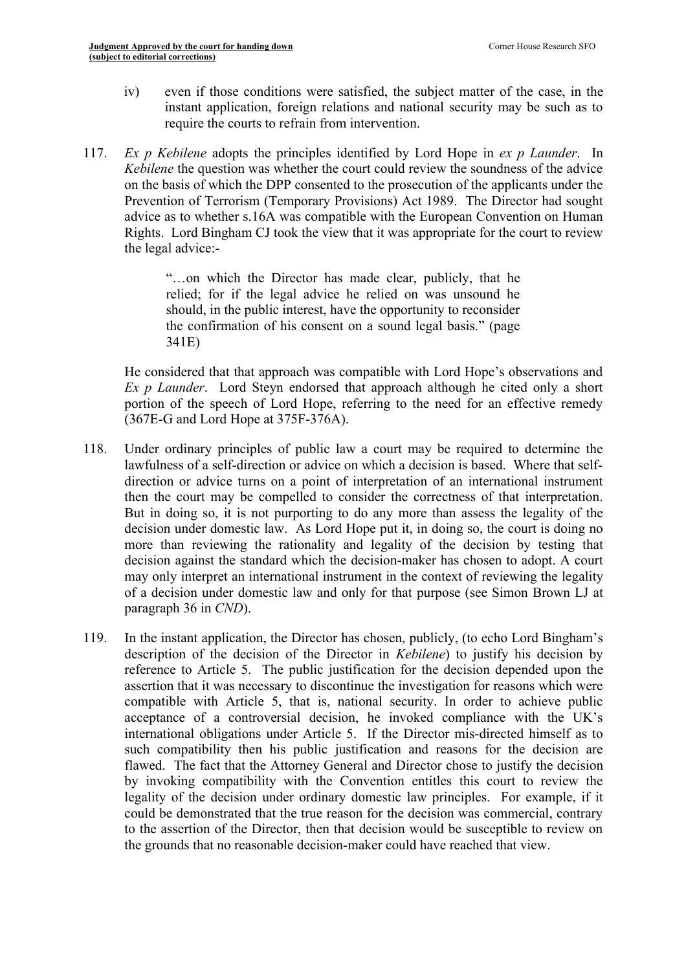- iv) even if those conditions were satisfied, the subject matter of the case, in the instant application, foreign relations and national security may be such as to require the courts to refrain from intervention.
- 117. *Ex p Kebilene* adopts the principles identified by Lord Hope in *ex p Launder*. In *Kebilene* the question was whether the court could review the soundness of the advice on the basis of which the DPP consented to the prosecution of the applicants under the Prevention of Terrorism (Temporary Provisions) Act 1989. The Director had sought advice as to whether s.16A was compatible with the European Convention on Human Rights. Lord Bingham CJ took the view that it was appropriate for the court to review the legal advice:-

"…on which the Director has made clear, publicly, that he relied; for if the legal advice he relied on was unsound he should, in the public interest, have the opportunity to reconsider the confirmation of his consent on a sound legal basis." (page 341E)

He considered that that approach was compatible with Lord Hope's observations and *Ex p Launder*. Lord Steyn endorsed that approach although he cited only a short portion of the speech of Lord Hope, referring to the need for an effective remedy (367E-G and Lord Hope at 375F-376A).

- 118. Under ordinary principles of public law a court may be required to determine the lawfulness of a self-direction or advice on which a decision is based. Where that selfdirection or advice turns on a point of interpretation of an international instrument then the court may be compelled to consider the correctness of that interpretation. But in doing so, it is not purporting to do any more than assess the legality of the decision under domestic law. As Lord Hope put it, in doing so, the court is doing no more than reviewing the rationality and legality of the decision by testing that decision against the standard which the decision-maker has chosen to adopt. A court may only interpret an international instrument in the context of reviewing the legality of a decision under domestic law and only for that purpose (see Simon Brown LJ at paragraph 36 in *CND*).
- 119. In the instant application, the Director has chosen, publicly, (to echo Lord Bingham's description of the decision of the Director in *Kebilene*) to justify his decision by reference to Article 5. The public justification for the decision depended upon the assertion that it was necessary to discontinue the investigation for reasons which were compatible with Article 5, that is, national security. In order to achieve public acceptance of a controversial decision, he invoked compliance with the UK's international obligations under Article 5. If the Director mis-directed himself as to such compatibility then his public justification and reasons for the decision are flawed. The fact that the Attorney General and Director chose to justify the decision by invoking compatibility with the Convention entitles this court to review the legality of the decision under ordinary domestic law principles. For example, if it could be demonstrated that the true reason for the decision was commercial, contrary to the assertion of the Director, then that decision would be susceptible to review on the grounds that no reasonable decision-maker could have reached that view.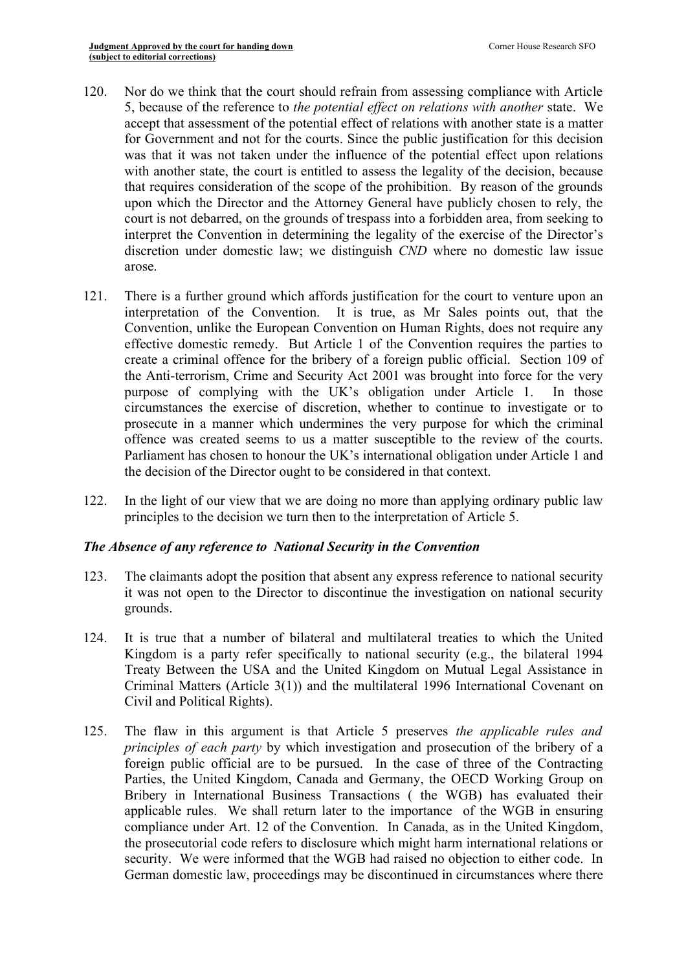- 120. Nor do we think that the court should refrain from assessing compliance with Article 5, because of the reference to *the potential effect on relations with another* state. We accept that assessment of the potential effect of relations with another state is a matter for Government and not for the courts. Since the public justification for this decision was that it was not taken under the influence of the potential effect upon relations with another state, the court is entitled to assess the legality of the decision, because that requires consideration of the scope of the prohibition. By reason of the grounds upon which the Director and the Attorney General have publicly chosen to rely, the court is not debarred, on the grounds of trespass into a forbidden area, from seeking to interpret the Convention in determining the legality of the exercise of the Director's discretion under domestic law; we distinguish *CND* where no domestic law issue arose.
- 121. There is a further ground which affords justification for the court to venture upon an interpretation of the Convention. It is true, as Mr Sales points out, that the Convention, unlike the European Convention on Human Rights, does not require any effective domestic remedy. But Article 1 of the Convention requires the parties to create a criminal offence for the bribery of a foreign public official. Section 109 of the Anti-terrorism, Crime and Security Act 2001 was brought into force for the very purpose of complying with the UK's obligation under Article 1. In those circumstances the exercise of discretion, whether to continue to investigate or to prosecute in a manner which undermines the very purpose for which the criminal offence was created seems to us a matter susceptible to the review of the courts. Parliament has chosen to honour the UK's international obligation under Article 1 and the decision of the Director ought to be considered in that context.
- 122. In the light of our view that we are doing no more than applying ordinary public law principles to the decision we turn then to the interpretation of Article 5.

# *The Absence of any reference to National Security in the Convention*

- 123. The claimants adopt the position that absent any express reference to national security it was not open to the Director to discontinue the investigation on national security grounds.
- 124. It is true that a number of bilateral and multilateral treaties to which the United Kingdom is a party refer specifically to national security (e.g., the bilateral 1994 Treaty Between the USA and the United Kingdom on Mutual Legal Assistance in Criminal Matters (Article 3(1)) and the multilateral 1996 International Covenant on Civil and Political Rights).
- 125. The flaw in this argument is that Article 5 preserves *the applicable rules and principles of each party* by which investigation and prosecution of the bribery of a foreign public official are to be pursued. In the case of three of the Contracting Parties, the United Kingdom, Canada and Germany, the OECD Working Group on Bribery in International Business Transactions ( the WGB) has evaluated their applicable rules. We shall return later to the importance of the WGB in ensuring compliance under Art. 12 of the Convention. In Canada, as in the United Kingdom, the prosecutorial code refers to disclosure which might harm international relations or security. We were informed that the WGB had raised no objection to either code. In German domestic law, proceedings may be discontinued in circumstances where there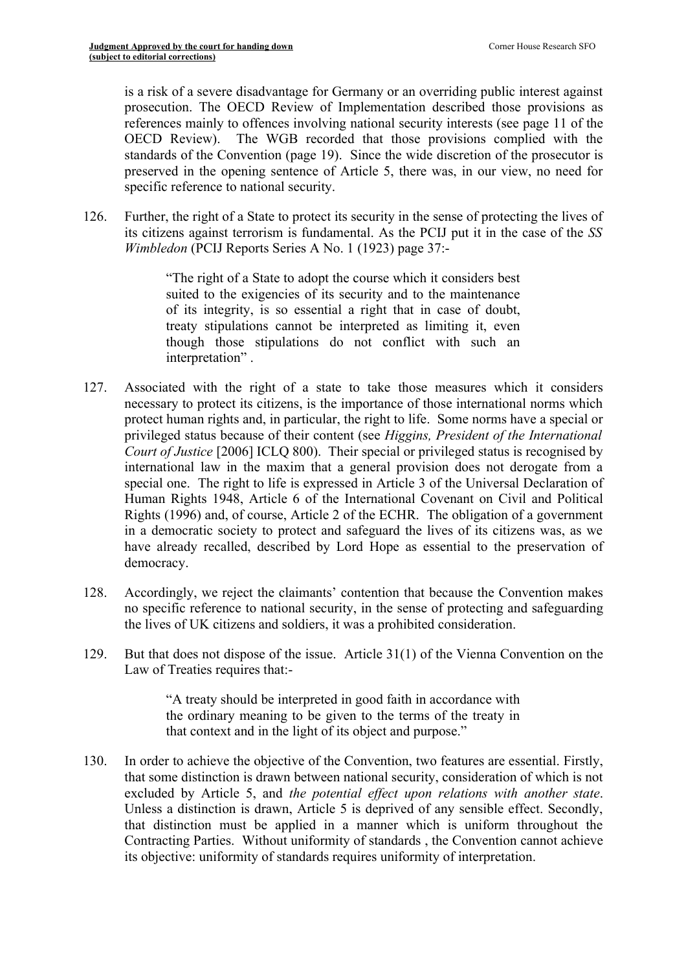is a risk of a severe disadvantage for Germany or an overriding public interest against prosecution. The OECD Review of Implementation described those provisions as references mainly to offences involving national security interests (see page 11 of the OECD Review). The WGB recorded that those provisions complied with the standards of the Convention (page 19). Since the wide discretion of the prosecutor is preserved in the opening sentence of Article 5, there was, in our view, no need for specific reference to national security.

126. Further, the right of a State to protect its security in the sense of protecting the lives of its citizens against terrorism is fundamental. As the PCIJ put it in the case of the *SS Wimbledon* (PCIJ Reports Series A No. 1 (1923) page 37:-

> "The right of a State to adopt the course which it considers best suited to the exigencies of its security and to the maintenance of its integrity, is so essential a right that in case of doubt, treaty stipulations cannot be interpreted as limiting it, even though those stipulations do not conflict with such an interpretation" .

- 127. Associated with the right of a state to take those measures which it considers necessary to protect its citizens, is the importance of those international norms which protect human rights and, in particular, the right to life. Some norms have a special or privileged status because of their content (see *Higgins, President of the International Court of Justice* [2006] ICLQ 800). Their special or privileged status is recognised by international law in the maxim that a general provision does not derogate from a special one. The right to life is expressed in Article 3 of the Universal Declaration of Human Rights 1948, Article 6 of the International Covenant on Civil and Political Rights (1996) and, of course, Article 2 of the ECHR. The obligation of a government in a democratic society to protect and safeguard the lives of its citizens was, as we have already recalled, described by Lord Hope as essential to the preservation of democracy.
- 128. Accordingly, we reject the claimants' contention that because the Convention makes no specific reference to national security, in the sense of protecting and safeguarding the lives of UK citizens and soldiers, it was a prohibited consideration.
- 129. But that does not dispose of the issue. Article 31(1) of the Vienna Convention on the Law of Treaties requires that:-

"A treaty should be interpreted in good faith in accordance with the ordinary meaning to be given to the terms of the treaty in that context and in the light of its object and purpose."

130. In order to achieve the objective of the Convention, two features are essential. Firstly, that some distinction is drawn between national security, consideration of which is not excluded by Article 5, and *the potential effect upon relations with another state*. Unless a distinction is drawn, Article 5 is deprived of any sensible effect. Secondly, that distinction must be applied in a manner which is uniform throughout the Contracting Parties. Without uniformity of standards , the Convention cannot achieve its objective: uniformity of standards requires uniformity of interpretation.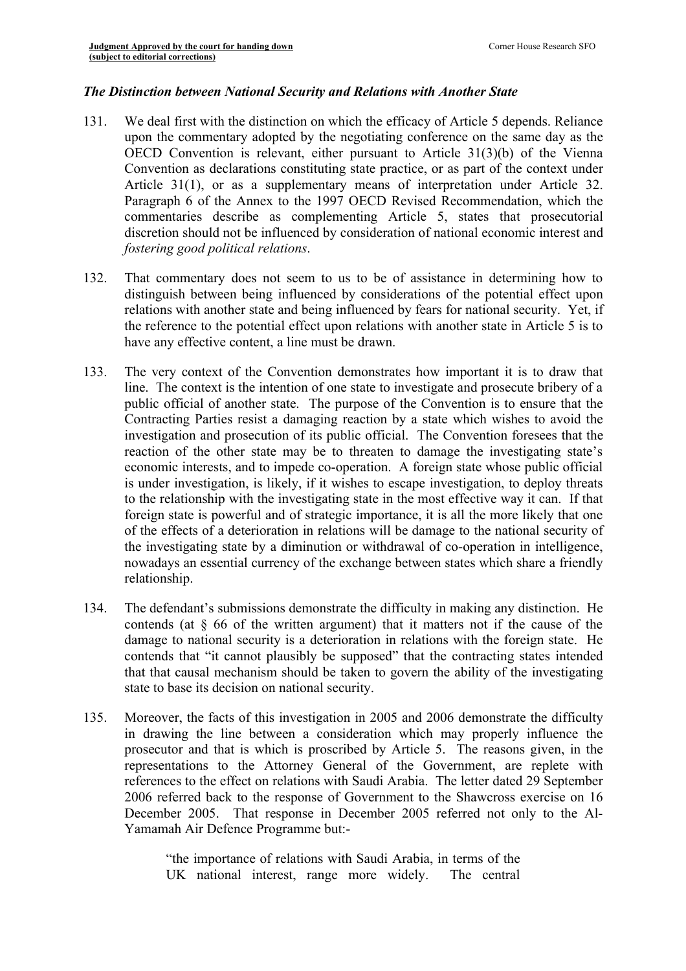## *The Distinction between National Security and Relations with Another State*

- 131. We deal first with the distinction on which the efficacy of Article 5 depends. Reliance upon the commentary adopted by the negotiating conference on the same day as the OECD Convention is relevant, either pursuant to Article 31(3)(b) of the Vienna Convention as declarations constituting state practice, or as part of the context under Article 31(1), or as a supplementary means of interpretation under Article 32. Paragraph 6 of the Annex to the 1997 OECD Revised Recommendation, which the commentaries describe as complementing Article 5, states that prosecutorial discretion should not be influenced by consideration of national economic interest and *fostering good political relations*.
- 132. That commentary does not seem to us to be of assistance in determining how to distinguish between being influenced by considerations of the potential effect upon relations with another state and being influenced by fears for national security. Yet, if the reference to the potential effect upon relations with another state in Article 5 is to have any effective content, a line must be drawn.
- 133. The very context of the Convention demonstrates how important it is to draw that line. The context is the intention of one state to investigate and prosecute bribery of a public official of another state. The purpose of the Convention is to ensure that the Contracting Parties resist a damaging reaction by a state which wishes to avoid the investigation and prosecution of its public official. The Convention foresees that the reaction of the other state may be to threaten to damage the investigating state's economic interests, and to impede co-operation. A foreign state whose public official is under investigation, is likely, if it wishes to escape investigation, to deploy threats to the relationship with the investigating state in the most effective way it can. If that foreign state is powerful and of strategic importance, it is all the more likely that one of the effects of a deterioration in relations will be damage to the national security of the investigating state by a diminution or withdrawal of co-operation in intelligence, nowadays an essential currency of the exchange between states which share a friendly relationship.
- 134. The defendant's submissions demonstrate the difficulty in making any distinction. He contends (at § 66 of the written argument) that it matters not if the cause of the damage to national security is a deterioration in relations with the foreign state. He contends that "it cannot plausibly be supposed" that the contracting states intended that that causal mechanism should be taken to govern the ability of the investigating state to base its decision on national security.
- 135. Moreover, the facts of this investigation in 2005 and 2006 demonstrate the difficulty in drawing the line between a consideration which may properly influence the prosecutor and that is which is proscribed by Article 5. The reasons given, in the representations to the Attorney General of the Government, are replete with references to the effect on relations with Saudi Arabia. The letter dated 29 September 2006 referred back to the response of Government to the Shawcross exercise on 16 December 2005. That response in December 2005 referred not only to the Al-Yamamah Air Defence Programme but:-

"the importance of relations with Saudi Arabia, in terms of the UK national interest, range more widely. The central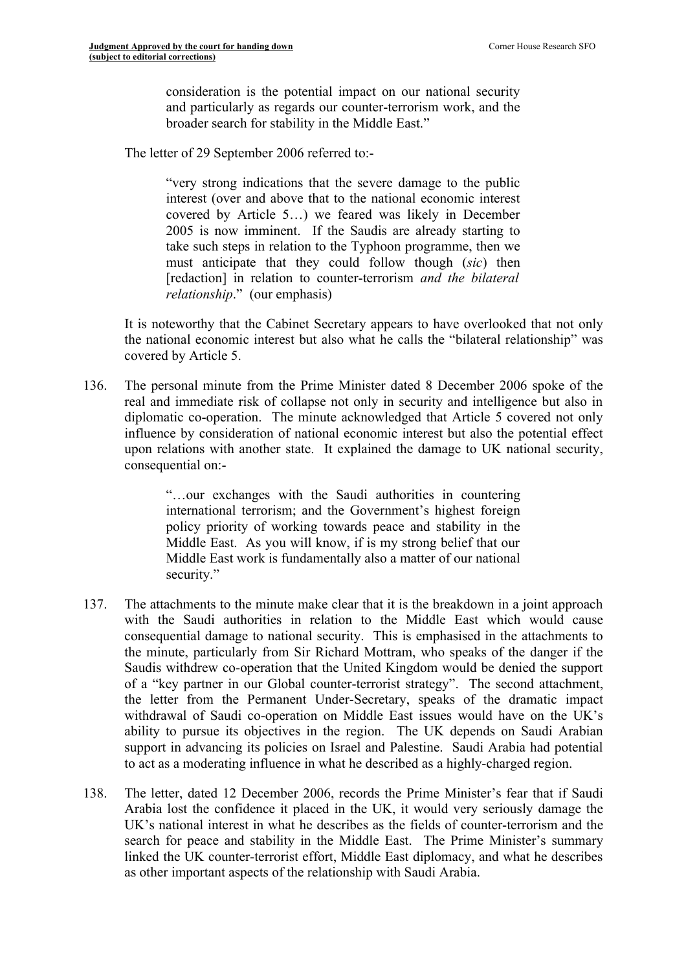consideration is the potential impact on our national security and particularly as regards our counter-terrorism work, and the broader search for stability in the Middle East."

The letter of 29 September 2006 referred to:-

"very strong indications that the severe damage to the public interest (over and above that to the national economic interest covered by Article 5…) we feared was likely in December 2005 is now imminent. If the Saudis are already starting to take such steps in relation to the Typhoon programme, then we must anticipate that they could follow though (*sic*) then [redaction] in relation to counter-terrorism *and the bilateral relationship*." (our emphasis)

It is noteworthy that the Cabinet Secretary appears to have overlooked that not only the national economic interest but also what he calls the "bilateral relationship" was covered by Article 5.

136. The personal minute from the Prime Minister dated 8 December 2006 spoke of the real and immediate risk of collapse not only in security and intelligence but also in diplomatic co-operation. The minute acknowledged that Article 5 covered not only influence by consideration of national economic interest but also the potential effect upon relations with another state. It explained the damage to UK national security, consequential on:-

> "…our exchanges with the Saudi authorities in countering international terrorism; and the Government's highest foreign policy priority of working towards peace and stability in the Middle East. As you will know, if is my strong belief that our Middle East work is fundamentally also a matter of our national security."

- 137. The attachments to the minute make clear that it is the breakdown in a joint approach with the Saudi authorities in relation to the Middle East which would cause consequential damage to national security. This is emphasised in the attachments to the minute, particularly from Sir Richard Mottram, who speaks of the danger if the Saudis withdrew co-operation that the United Kingdom would be denied the support of a "key partner in our Global counter-terrorist strategy". The second attachment, the letter from the Permanent Under-Secretary, speaks of the dramatic impact withdrawal of Saudi co-operation on Middle East issues would have on the UK's ability to pursue its objectives in the region. The UK depends on Saudi Arabian support in advancing its policies on Israel and Palestine. Saudi Arabia had potential to act as a moderating influence in what he described as a highly-charged region.
- 138. The letter, dated 12 December 2006, records the Prime Minister's fear that if Saudi Arabia lost the confidence it placed in the UK, it would very seriously damage the UK's national interest in what he describes as the fields of counter-terrorism and the search for peace and stability in the Middle East. The Prime Minister's summary linked the UK counter-terrorist effort, Middle East diplomacy, and what he describes as other important aspects of the relationship with Saudi Arabia.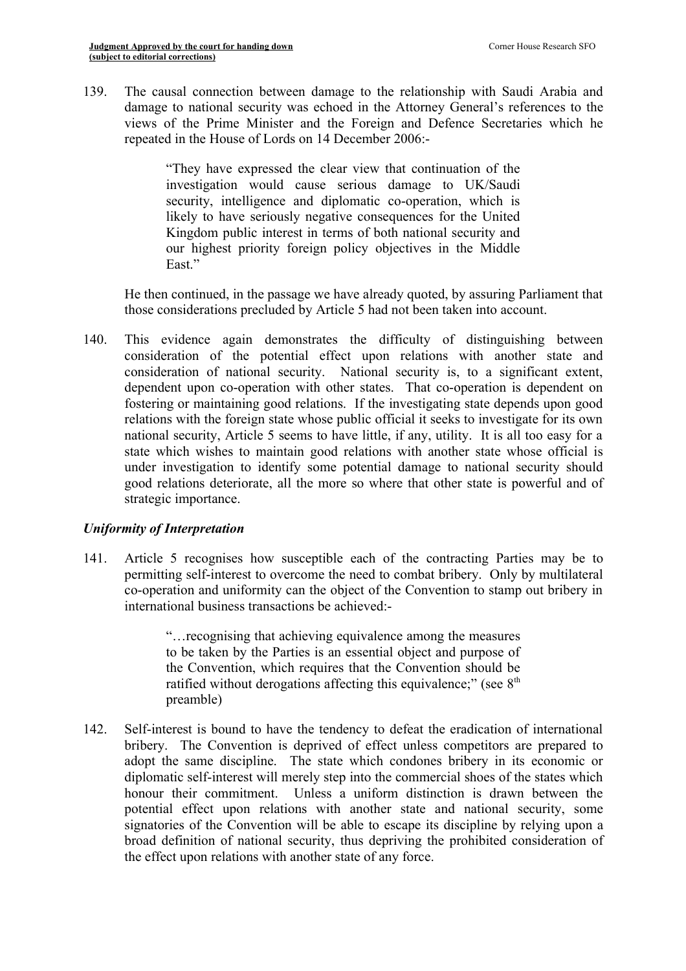139. The causal connection between damage to the relationship with Saudi Arabia and damage to national security was echoed in the Attorney General's references to the views of the Prime Minister and the Foreign and Defence Secretaries which he repeated in the House of Lords on 14 December 2006:-

> "They have expressed the clear view that continuation of the investigation would cause serious damage to UK/Saudi security, intelligence and diplomatic co-operation, which is likely to have seriously negative consequences for the United Kingdom public interest in terms of both national security and our highest priority foreign policy objectives in the Middle East."

He then continued, in the passage we have already quoted, by assuring Parliament that those considerations precluded by Article 5 had not been taken into account.

140. This evidence again demonstrates the difficulty of distinguishing between consideration of the potential effect upon relations with another state and consideration of national security. National security is, to a significant extent, dependent upon co-operation with other states. That co-operation is dependent on fostering or maintaining good relations. If the investigating state depends upon good relations with the foreign state whose public official it seeks to investigate for its own national security, Article 5 seems to have little, if any, utility. It is all too easy for a state which wishes to maintain good relations with another state whose official is under investigation to identify some potential damage to national security should good relations deteriorate, all the more so where that other state is powerful and of strategic importance.

### *Uniformity of Interpretation*

141. Article 5 recognises how susceptible each of the contracting Parties may be to permitting self-interest to overcome the need to combat bribery. Only by multilateral co-operation and uniformity can the object of the Convention to stamp out bribery in international business transactions be achieved:-

> "…recognising that achieving equivalence among the measures to be taken by the Parties is an essential object and purpose of the Convention, which requires that the Convention should be ratified without derogations affecting this equivalence;" (see  $8<sup>th</sup>$ preamble)

142. Self-interest is bound to have the tendency to defeat the eradication of international bribery. The Convention is deprived of effect unless competitors are prepared to adopt the same discipline. The state which condones bribery in its economic or diplomatic self-interest will merely step into the commercial shoes of the states which honour their commitment. Unless a uniform distinction is drawn between the potential effect upon relations with another state and national security, some signatories of the Convention will be able to escape its discipline by relying upon a broad definition of national security, thus depriving the prohibited consideration of the effect upon relations with another state of any force.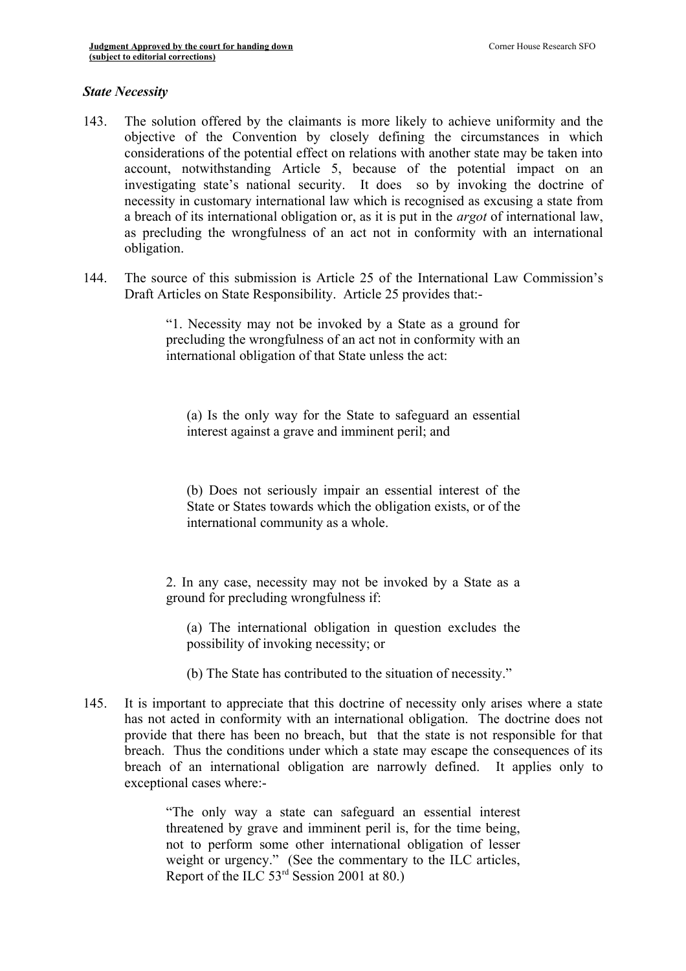#### *State Necessity*

- 143. The solution offered by the claimants is more likely to achieve uniformity and the objective of the Convention by closely defining the circumstances in which considerations of the potential effect on relations with another state may be taken into account, notwithstanding Article 5, because of the potential impact on an investigating state's national security. It does so by invoking the doctrine of necessity in customary international law which is recognised as excusing a state from a breach of its international obligation or, as it is put in the *argot* of international law, as precluding the wrongfulness of an act not in conformity with an international obligation.
- 144. The source of this submission is Article 25 of the International Law Commission's Draft Articles on State Responsibility. Article 25 provides that:-

"1. Necessity may not be invoked by a State as a ground for precluding the wrongfulness of an act not in conformity with an international obligation of that State unless the act:

(a) Is the only way for the State to safeguard an essential interest against a grave and imminent peril; and

(b) Does not seriously impair an essential interest of the State or States towards which the obligation exists, or of the international community as a whole.

2. In any case, necessity may not be invoked by a State as a ground for precluding wrongfulness if:

(a) The international obligation in question excludes the possibility of invoking necessity; or

(b) The State has contributed to the situation of necessity."

145. It is important to appreciate that this doctrine of necessity only arises where a state has not acted in conformity with an international obligation. The doctrine does not provide that there has been no breach, but that the state is not responsible for that breach. Thus the conditions under which a state may escape the consequences of its breach of an international obligation are narrowly defined. It applies only to exceptional cases where:-

> "The only way a state can safeguard an essential interest threatened by grave and imminent peril is, for the time being, not to perform some other international obligation of lesser weight or urgency." (See the commentary to the ILC articles, Report of the ILC 53rd Session 2001 at 80.)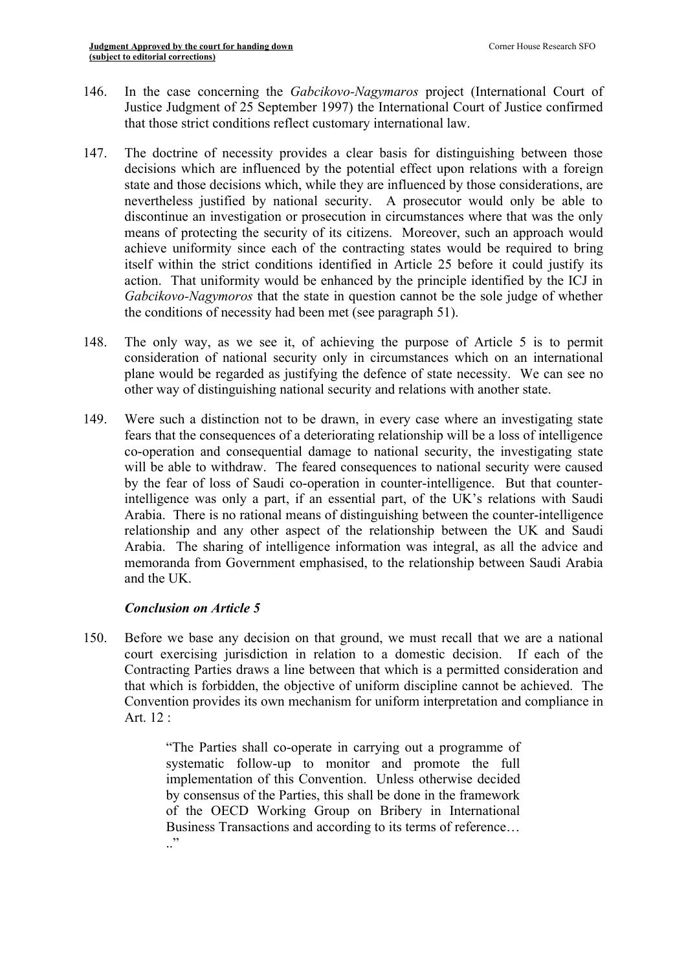- 146. In the case concerning the *Gabcikovo-Nagymaros* project (International Court of Justice Judgment of 25 September 1997) the International Court of Justice confirmed that those strict conditions reflect customary international law.
- 147. The doctrine of necessity provides a clear basis for distinguishing between those decisions which are influenced by the potential effect upon relations with a foreign state and those decisions which, while they are influenced by those considerations, are nevertheless justified by national security. A prosecutor would only be able to discontinue an investigation or prosecution in circumstances where that was the only means of protecting the security of its citizens. Moreover, such an approach would achieve uniformity since each of the contracting states would be required to bring itself within the strict conditions identified in Article 25 before it could justify its action. That uniformity would be enhanced by the principle identified by the ICJ in *Gabcikovo-Nagymoros* that the state in question cannot be the sole judge of whether the conditions of necessity had been met (see paragraph 51).
- 148. The only way, as we see it, of achieving the purpose of Article 5 is to permit consideration of national security only in circumstances which on an international plane would be regarded as justifying the defence of state necessity. We can see no other way of distinguishing national security and relations with another state.
- 149. Were such a distinction not to be drawn, in every case where an investigating state fears that the consequences of a deteriorating relationship will be a loss of intelligence co-operation and consequential damage to national security, the investigating state will be able to withdraw. The feared consequences to national security were caused by the fear of loss of Saudi co-operation in counter-intelligence. But that counterintelligence was only a part, if an essential part, of the UK's relations with Saudi Arabia. There is no rational means of distinguishing between the counter-intelligence relationship and any other aspect of the relationship between the UK and Saudi Arabia. The sharing of intelligence information was integral, as all the advice and memoranda from Government emphasised, to the relationship between Saudi Arabia and the UK.

# *Conclusion on Article 5*

150. Before we base any decision on that ground, we must recall that we are a national court exercising jurisdiction in relation to a domestic decision. If each of the Contracting Parties draws a line between that which is a permitted consideration and that which is forbidden, the objective of uniform discipline cannot be achieved. The Convention provides its own mechanism for uniform interpretation and compliance in Art. 12 :

> "The Parties shall co-operate in carrying out a programme of systematic follow-up to monitor and promote the full implementation of this Convention. Unless otherwise decided by consensus of the Parties, this shall be done in the framework of the OECD Working Group on Bribery in International Business Transactions and according to its terms of reference…  $\cdot$ "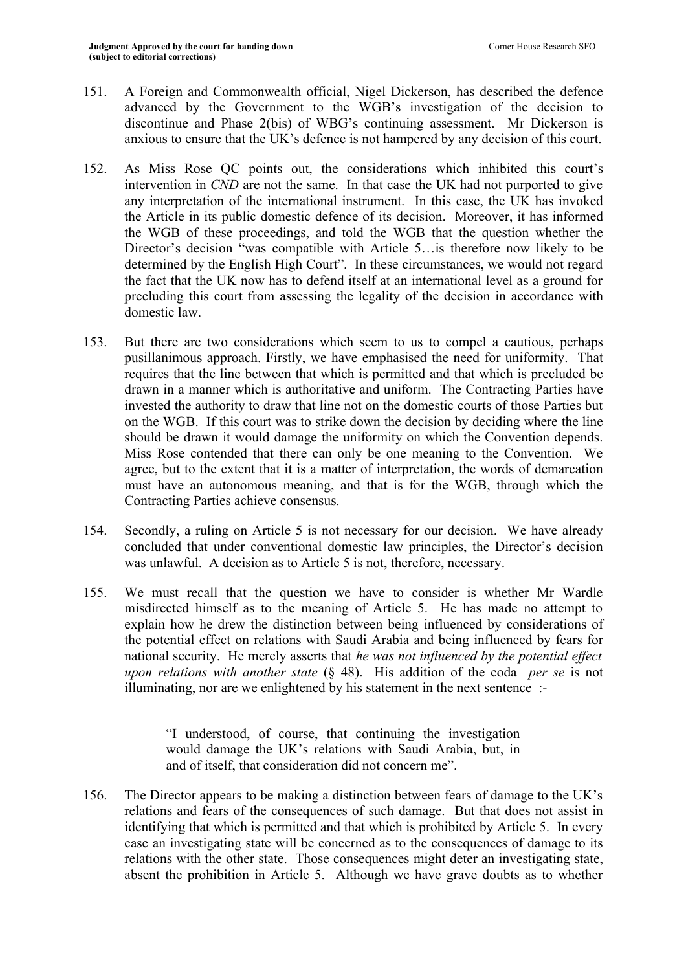- 151. A Foreign and Commonwealth official, Nigel Dickerson, has described the defence advanced by the Government to the WGB's investigation of the decision to discontinue and Phase 2(bis) of WBG's continuing assessment. Mr Dickerson is anxious to ensure that the UK's defence is not hampered by any decision of this court.
- 152. As Miss Rose QC points out, the considerations which inhibited this court's intervention in *CND* are not the same. In that case the UK had not purported to give any interpretation of the international instrument. In this case, the UK has invoked the Article in its public domestic defence of its decision. Moreover, it has informed the WGB of these proceedings, and told the WGB that the question whether the Director's decision "was compatible with Article 5…is therefore now likely to be determined by the English High Court". In these circumstances, we would not regard the fact that the UK now has to defend itself at an international level as a ground for precluding this court from assessing the legality of the decision in accordance with domestic law.
- 153. But there are two considerations which seem to us to compel a cautious, perhaps pusillanimous approach. Firstly, we have emphasised the need for uniformity. That requires that the line between that which is permitted and that which is precluded be drawn in a manner which is authoritative and uniform. The Contracting Parties have invested the authority to draw that line not on the domestic courts of those Parties but on the WGB. If this court was to strike down the decision by deciding where the line should be drawn it would damage the uniformity on which the Convention depends. Miss Rose contended that there can only be one meaning to the Convention. We agree, but to the extent that it is a matter of interpretation, the words of demarcation must have an autonomous meaning, and that is for the WGB, through which the Contracting Parties achieve consensus.
- 154. Secondly, a ruling on Article 5 is not necessary for our decision. We have already concluded that under conventional domestic law principles, the Director's decision was unlawful. A decision as to Article 5 is not, therefore, necessary.
- 155. We must recall that the question we have to consider is whether Mr Wardle misdirected himself as to the meaning of Article 5. He has made no attempt to explain how he drew the distinction between being influenced by considerations of the potential effect on relations with Saudi Arabia and being influenced by fears for national security. He merely asserts that *he was not influenced by the potential effect upon relations with another state* (§ 48). His addition of the coda *per se* is not illuminating, nor are we enlightened by his statement in the next sentence :-

"I understood, of course, that continuing the investigation would damage the UK's relations with Saudi Arabia, but, in and of itself, that consideration did not concern me".

156. The Director appears to be making a distinction between fears of damage to the UK's relations and fears of the consequences of such damage. But that does not assist in identifying that which is permitted and that which is prohibited by Article 5. In every case an investigating state will be concerned as to the consequences of damage to its relations with the other state. Those consequences might deter an investigating state, absent the prohibition in Article 5. Although we have grave doubts as to whether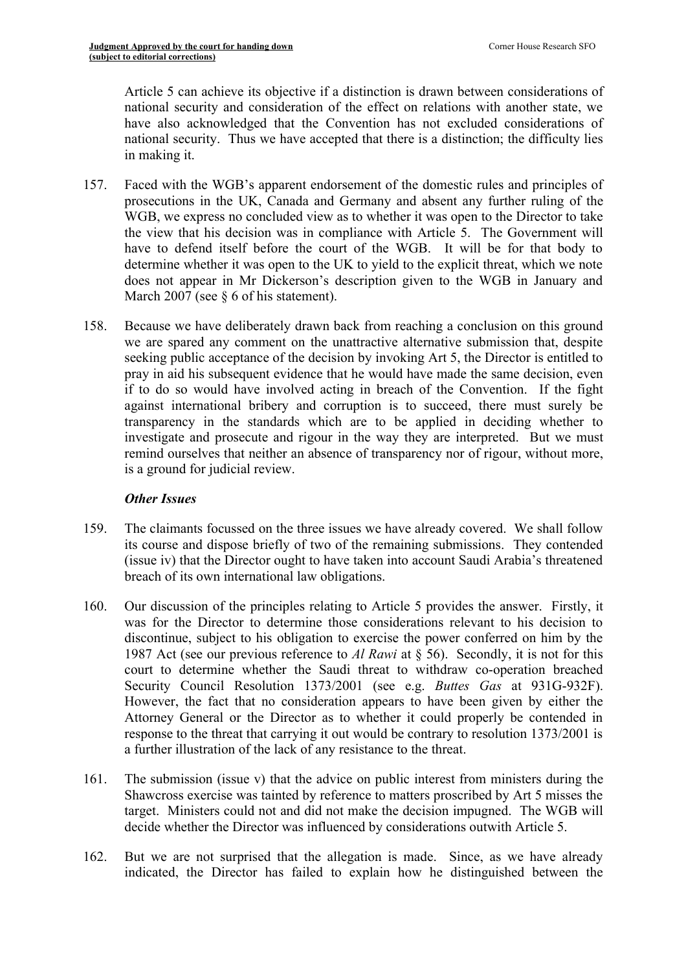Article 5 can achieve its objective if a distinction is drawn between considerations of national security and consideration of the effect on relations with another state, we have also acknowledged that the Convention has not excluded considerations of national security. Thus we have accepted that there is a distinction; the difficulty lies in making it.

- 157. Faced with the WGB's apparent endorsement of the domestic rules and principles of prosecutions in the UK, Canada and Germany and absent any further ruling of the WGB, we express no concluded view as to whether it was open to the Director to take the view that his decision was in compliance with Article 5. The Government will have to defend itself before the court of the WGB. It will be for that body to determine whether it was open to the UK to yield to the explicit threat, which we note does not appear in Mr Dickerson's description given to the WGB in January and March 2007 (see § 6 of his statement).
- 158. Because we have deliberately drawn back from reaching a conclusion on this ground we are spared any comment on the unattractive alternative submission that, despite seeking public acceptance of the decision by invoking Art 5, the Director is entitled to pray in aid his subsequent evidence that he would have made the same decision, even if to do so would have involved acting in breach of the Convention. If the fight against international bribery and corruption is to succeed, there must surely be transparency in the standards which are to be applied in deciding whether to investigate and prosecute and rigour in the way they are interpreted. But we must remind ourselves that neither an absence of transparency nor of rigour, without more, is a ground for judicial review.

# *Other Issues*

- 159. The claimants focussed on the three issues we have already covered. We shall follow its course and dispose briefly of two of the remaining submissions. They contended (issue iv) that the Director ought to have taken into account Saudi Arabia's threatened breach of its own international law obligations.
- 160. Our discussion of the principles relating to Article 5 provides the answer. Firstly, it was for the Director to determine those considerations relevant to his decision to discontinue, subject to his obligation to exercise the power conferred on him by the 1987 Act (see our previous reference to *Al Rawi* at § 56). Secondly, it is not for this court to determine whether the Saudi threat to withdraw co-operation breached Security Council Resolution 1373/2001 (see e.g. *Buttes Gas* at 931G-932F). However, the fact that no consideration appears to have been given by either the Attorney General or the Director as to whether it could properly be contended in response to the threat that carrying it out would be contrary to resolution 1373/2001 is a further illustration of the lack of any resistance to the threat.
- 161. The submission (issue v) that the advice on public interest from ministers during the Shawcross exercise was tainted by reference to matters proscribed by Art 5 misses the target. Ministers could not and did not make the decision impugned. The WGB will decide whether the Director was influenced by considerations outwith Article 5.
- 162. But we are not surprised that the allegation is made. Since, as we have already indicated, the Director has failed to explain how he distinguished between the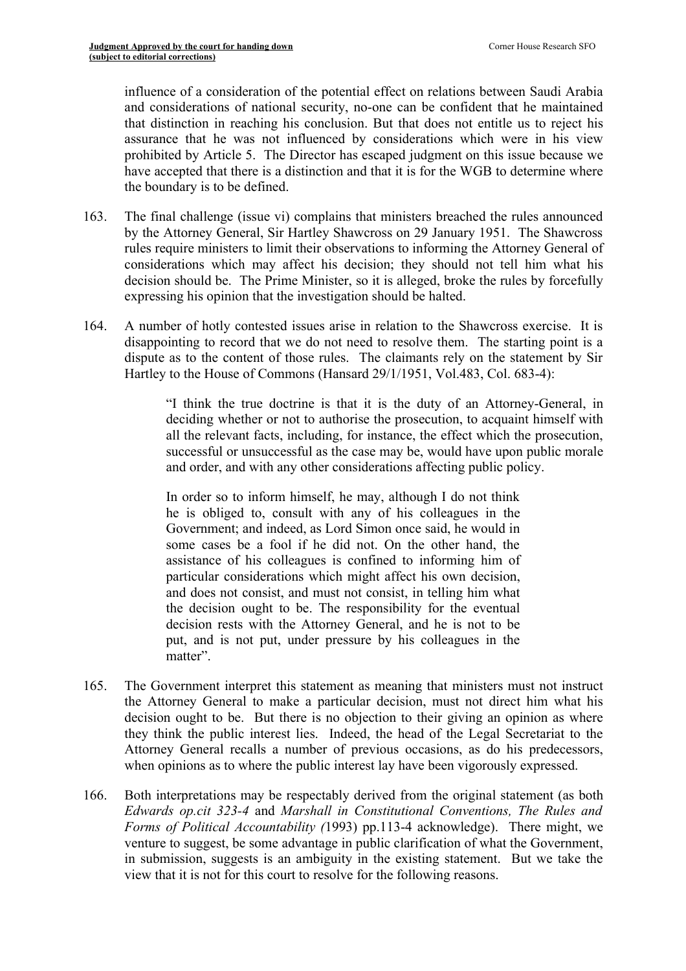influence of a consideration of the potential effect on relations between Saudi Arabia and considerations of national security, no-one can be confident that he maintained that distinction in reaching his conclusion. But that does not entitle us to reject his assurance that he was not influenced by considerations which were in his view prohibited by Article 5. The Director has escaped judgment on this issue because we have accepted that there is a distinction and that it is for the WGB to determine where the boundary is to be defined.

- 163. The final challenge (issue vi) complains that ministers breached the rules announced by the Attorney General, Sir Hartley Shawcross on 29 January 1951. The Shawcross rules require ministers to limit their observations to informing the Attorney General of considerations which may affect his decision; they should not tell him what his decision should be. The Prime Minister, so it is alleged, broke the rules by forcefully expressing his opinion that the investigation should be halted.
- 164. A number of hotly contested issues arise in relation to the Shawcross exercise. It is disappointing to record that we do not need to resolve them. The starting point is a dispute as to the content of those rules. The claimants rely on the statement by Sir Hartley to the House of Commons (Hansard 29/1/1951, Vol.483, Col. 683-4):

"I think the true doctrine is that it is the duty of an Attorney-General, in deciding whether or not to authorise the prosecution, to acquaint himself with all the relevant facts, including, for instance, the effect which the prosecution, successful or unsuccessful as the case may be, would have upon public morale and order, and with any other considerations affecting public policy.

In order so to inform himself, he may, although I do not think he is obliged to, consult with any of his colleagues in the Government; and indeed, as Lord Simon once said, he would in some cases be a fool if he did not. On the other hand, the assistance of his colleagues is confined to informing him of particular considerations which might affect his own decision, and does not consist, and must not consist, in telling him what the decision ought to be. The responsibility for the eventual decision rests with the Attorney General, and he is not to be put, and is not put, under pressure by his colleagues in the matter".

- 165. The Government interpret this statement as meaning that ministers must not instruct the Attorney General to make a particular decision, must not direct him what his decision ought to be. But there is no objection to their giving an opinion as where they think the public interest lies. Indeed, the head of the Legal Secretariat to the Attorney General recalls a number of previous occasions, as do his predecessors, when opinions as to where the public interest lay have been vigorously expressed.
- 166. Both interpretations may be respectably derived from the original statement (as both *Edwards op.cit 323-4* and *Marshall in Constitutional Conventions, The Rules and Forms of Political Accountability (*1993) pp.113-4 acknowledge). There might, we venture to suggest, be some advantage in public clarification of what the Government, in submission, suggests is an ambiguity in the existing statement. But we take the view that it is not for this court to resolve for the following reasons.